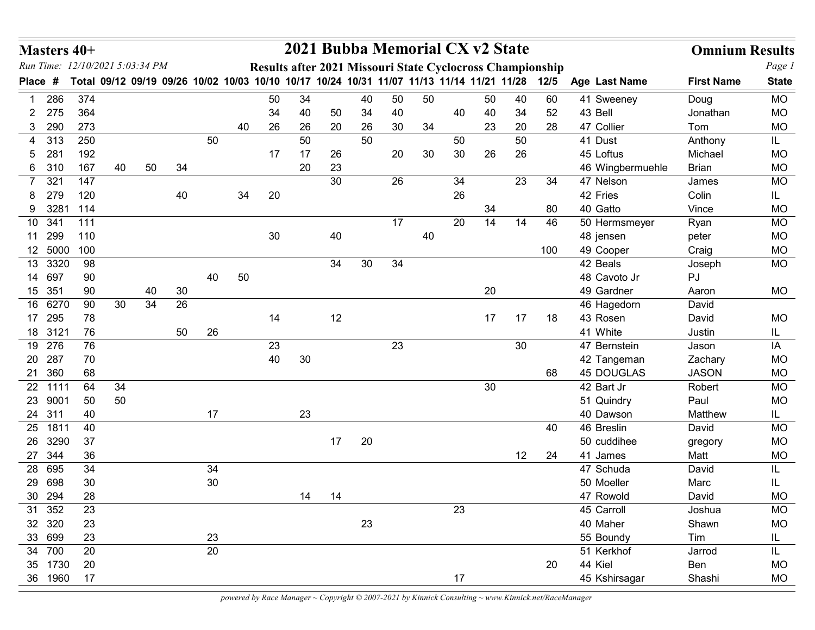|              | Masters 40+       | Run Time: 12/10/2021 5:03:34 PM |                 |    |    |          |    |    |        |    | 2021 Bubba Memorial CX v2 State                                                                                                                             |    |    |      |    |    |     |                          | <b>Omnium Results</b> |                        |
|--------------|-------------------|---------------------------------|-----------------|----|----|----------|----|----|--------|----|-------------------------------------------------------------------------------------------------------------------------------------------------------------|----|----|------|----|----|-----|--------------------------|-----------------------|------------------------|
| <b>Place</b> | #                 |                                 |                 |    |    |          |    |    |        |    | Results after 2021 Missouri State Cyclocross Championship<br>Total 09/12 09/19 09/26 10/02 10/03 10/10 10/17 10/24 10/31 11/07 11/13 11/14 11/21 11/28 12/5 |    |    |      |    |    |     | Age Last Name            | <b>First Name</b>     | Page 1<br><b>State</b> |
|              | 286               | 374                             |                 |    |    |          |    | 50 | 34     |    | 40                                                                                                                                                          | 50 | 50 |      | 50 | 40 | 60  | 41 Sweeney               | Doug                  | <b>MO</b>              |
| 2.           | 275               | 364                             |                 |    |    |          |    | 34 | 40     | 50 | 34                                                                                                                                                          | 40 |    | 40   | 40 | 34 | 52  | 43 Bell                  | Jonathan              | <b>MO</b>              |
| 3            | 290               | 273                             |                 |    |    |          | 40 | 26 | 26     | 20 | 26                                                                                                                                                          | 30 | 34 |      | 23 | 20 | 28  | 47 Collier               | Tom                   | <b>MO</b>              |
| 4            | 313               | 250                             |                 |    |    | 50       |    |    | 50     |    | 50                                                                                                                                                          |    |    | 50   |    | 50 |     | 41 Dust                  | Anthony               | IL.                    |
| 5.           | 281               | 192                             |                 |    |    |          |    | 17 | 17     | 26 |                                                                                                                                                             | 20 | 30 | 30   | 26 | 26 |     | 45 Loftus                | Michael               | <b>MO</b>              |
|              | 6 310             | 167                             | 40              | 50 | 34 |          |    |    | 20     | 23 |                                                                                                                                                             |    |    |      |    |    |     | 46 Wingbermuehle         | <b>Brian</b>          | <b>MO</b>              |
|              | 321               | 147                             |                 |    |    |          |    |    |        | 30 |                                                                                                                                                             | 26 |    | 34   |    | 23 | 34  | 47 Nelson                | James                 | <b>MO</b>              |
| 8.           | 279               | 120                             |                 |    | 40 |          | 34 | 20 |        |    |                                                                                                                                                             |    |    | 26   |    |    |     | 42 Fries                 | Colin                 | IL.                    |
| 9            | 3281              | 114                             |                 |    |    |          |    |    |        |    |                                                                                                                                                             |    |    |      | 34 |    | 80  | 40 Gatto                 | Vince                 | <b>MO</b>              |
| 10           | 341<br>11 299     | 111<br>110                      |                 |    |    |          |    | 30 |        | 40 |                                                                                                                                                             | 17 | 40 | 20   | 14 | 14 | 46  | 50 Hermsmeyer            | Ryan                  | <b>MO</b><br><b>MO</b> |
|              | 12 5000 100       |                                 |                 |    |    |          |    |    |        |    |                                                                                                                                                             |    |    |      |    |    | 100 | 48 jensen<br>49 Cooper   | peter<br>Craig        | <b>MO</b>              |
| 13           | 3320              | 98                              |                 |    |    |          |    |    |        | 34 | 30                                                                                                                                                          | 34 |    |      |    |    |     | 42 Beals                 | Joseph                | MO                     |
|              | 14 697            | 90                              |                 |    |    | 40       | 50 |    |        |    |                                                                                                                                                             |    |    |      |    |    |     | 48 Cavoto Jr             | PJ                    |                        |
|              | 15 351            | 90                              |                 | 40 | 30 |          |    |    |        |    |                                                                                                                                                             |    |    |      | 20 |    |     | 49 Gardner               | Aaron                 | MO                     |
|              | 16 6270           | 90                              | 30 <sup>°</sup> | 34 | 26 |          |    |    |        |    |                                                                                                                                                             |    |    |      |    |    |     | 46 Hagedorn              | David                 |                        |
|              | 17 295            | 78                              |                 |    |    |          |    | 14 |        | 12 |                                                                                                                                                             |    |    |      | 17 | 17 | 18  | 43 Rosen                 | David                 | MO                     |
|              | 18 3121           | 76                              |                 |    | 50 | 26       |    |    |        |    |                                                                                                                                                             |    |    |      |    |    |     | 41 White                 | Justin                | IL.                    |
|              | 19 276            | 76                              |                 |    |    |          |    | 23 |        |    |                                                                                                                                                             | 23 |    |      |    | 30 |     | 47 Bernstein             | Jason                 | IA                     |
|              | 20 287            | 70                              |                 |    |    |          |    | 40 | $30\,$ |    |                                                                                                                                                             |    |    |      |    |    |     | 42 Tangeman              | Zachary               | MO                     |
|              | 21 360<br>22 1111 | 68<br>64                        |                 |    |    |          |    |    |        |    |                                                                                                                                                             |    |    |      | 30 |    | 68  | 45 DOUGLAS               | <b>JASON</b>          | MO                     |
|              | 23 9001           | 50                              | 34<br>50        |    |    |          |    |    |        |    |                                                                                                                                                             |    |    |      |    |    |     | 42 Bart Jr<br>51 Quindry | Robert<br>Paul        | MO<br>MO               |
|              | 24 311            | 40                              |                 |    |    | 17       |    |    | 23     |    |                                                                                                                                                             |    |    |      |    |    |     | 40 Dawson                | Matthew               | IL.                    |
|              | 25 1811           | 40                              |                 |    |    |          |    |    |        |    |                                                                                                                                                             |    |    |      |    |    | 40  | 46 Breslin               | David                 | MO                     |
|              | 26 3290           | 37                              |                 |    |    |          |    |    |        | 17 | 20                                                                                                                                                          |    |    |      |    |    |     | 50 cuddihee              | gregory               | $MO$                   |
|              | 27 344            | 36                              |                 |    |    |          |    |    |        |    |                                                                                                                                                             |    |    |      |    | 12 | 24  | 41 James                 | Matt                  | MO                     |
|              | 28 695            | 34                              |                 |    |    | 34       |    |    |        |    |                                                                                                                                                             |    |    |      |    |    |     | 47 Schuda                | David                 | IL                     |
|              | 29 698            | $30\,$                          |                 |    |    | $30\,$   |    |    |        |    |                                                                                                                                                             |    |    |      |    |    |     | 50 Moeller               | Marc                  | IL                     |
|              | 30 294            | 28                              |                 |    |    |          |    |    | 14     | 14 |                                                                                                                                                             |    |    |      |    |    |     | 47 Rowold                | David                 | MO                     |
|              | 31 352            | 23                              |                 |    |    |          |    |    |        |    |                                                                                                                                                             |    |    | 23   |    |    |     | 45 Carroll               | Joshua                | MO                     |
|              | 32 320            | 23                              |                 |    |    |          |    |    |        |    | 23                                                                                                                                                          |    |    |      |    |    |     | 40 Maher                 | Shawn                 | MO                     |
|              | 33 699<br>34 700  | 23<br>20                        |                 |    |    | 23<br>20 |    |    |        |    |                                                                                                                                                             |    |    |      |    |    |     | 55 Boundy<br>51 Kerkhof  | Tim<br>Jarrod         | IL.                    |
|              | 35 1730           | 20                              |                 |    |    |          |    |    |        |    |                                                                                                                                                             |    |    |      |    |    | 20  | 44 Kiel                  | Ben                   | IL.<br>MO              |
|              | 36 1960           | 17                              |                 |    |    |          |    |    |        |    |                                                                                                                                                             |    |    | $17$ |    |    |     | 45 Kshirsagar            | Shashi                | $MO$                   |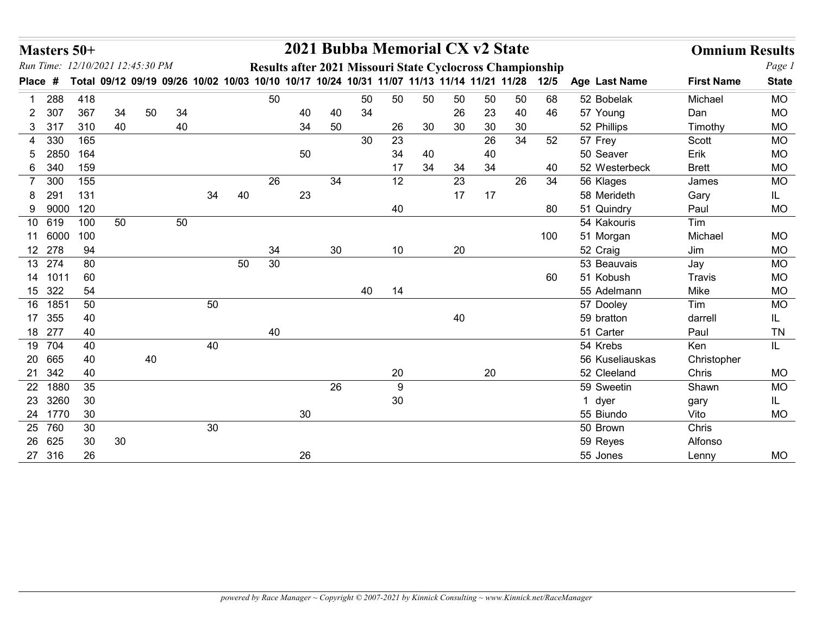| Masters 50+                                 |      |                 |        |    |    |    |    |    |    |    | 2021 Bubba Memorial CX v2 State                                                                                                                        |                 |    |        |        |    |        |                         | <b>Omnium Results</b> |                        |
|---------------------------------------------|------|-----------------|--------|----|----|----|----|----|----|----|--------------------------------------------------------------------------------------------------------------------------------------------------------|-----------------|----|--------|--------|----|--------|-------------------------|-----------------------|------------------------|
| Run Time: 12/10/2021 12:45:30 PM<br>Place # |      |                 |        |    |    |    |    |    |    |    | Results after 2021 Missouri State Cyclocross Championship<br>Total 09/12 09/19 09/26 10/02 10/03 10/10 10/17 10/24 10/31 11/07 11/13 11/14 11/21 11/28 |                 |    |        |        |    | $12/5$ | Age Last Name           | <b>First Name</b>     | Page 1<br><b>State</b> |
|                                             | 288  | 418             |        |    |    |    |    | 50 |    |    | 50                                                                                                                                                     | 50              | 50 | 50     | 50     | 50 | 68     | 52 Bobelak              | Michael               | <b>MO</b>              |
| 2                                           | 307  | 367             | 34     | 50 | 34 |    |    |    | 40 | 40 | 34                                                                                                                                                     |                 |    | 26     | 23     | 40 | 46     | 57 Young                | Dan                   | <b>MO</b>              |
| 3 317                                       |      | 310             | 40     |    | 40 |    |    |    | 34 | 50 |                                                                                                                                                        | 26              | 30 | 30     | 30     | 30 |        | 52 Phillips             | Timothy               | <b>MO</b>              |
| 4                                           | 330  | 165             |        |    |    |    |    |    |    |    | 30                                                                                                                                                     | 23              |    |        | 26     | 34 | 52     | 57 Frey                 | Scott                 | <b>MO</b>              |
| 5.                                          | 2850 | 164             |        |    |    |    |    |    | 50 |    |                                                                                                                                                        | 34              | 40 |        | 40     |    |        | 50 Seaver               | Erik                  | <b>MO</b>              |
| 6                                           | 340  | 159             |        |    |    |    |    |    |    |    |                                                                                                                                                        | 17              | 34 | 34     | 34     |    | 40     | 52 Westerbeck           | <b>Brett</b>          | <b>MO</b>              |
| 7                                           | 300  | 155             |        |    |    |    |    | 26 |    | 34 |                                                                                                                                                        | 12              |    | 23     |        | 26 | 34     | 56 Klages               | James                 | <b>MO</b>              |
| 8                                           | 291  | 131             |        |    |    | 34 | 40 |    | 23 |    |                                                                                                                                                        |                 |    | 17     | 17     |    |        | 58 Merideth             | Gary                  | IL.                    |
| 9 9000                                      |      | 120             |        |    |    |    |    |    |    |    |                                                                                                                                                        | 40              |    |        |        |    | 80     | 51 Quindry              | Paul                  | <b>MO</b>              |
| 10 619                                      |      | 100             | 50     |    | 50 |    |    |    |    |    |                                                                                                                                                        |                 |    |        |        |    |        | 54 Kakouris             | Tim                   |                        |
| 11 6000                                     |      | 100             |        |    |    |    |    |    |    |    |                                                                                                                                                        |                 |    |        |        |    | 100    | 51 Morgan               | Michael               | <b>MO</b>              |
| 12 278                                      |      | 94              |        |    |    |    |    | 34 |    | 30 |                                                                                                                                                        | 10              |    | 20     |        |    |        | 52 Craig                | Jim                   | <b>MO</b>              |
| 13 274                                      |      | 80              |        |    |    |    | 50 | 30 |    |    |                                                                                                                                                        |                 |    |        |        |    |        | 53 Beauvais             | Jay                   | MO                     |
| 14 1011                                     |      | 60              |        |    |    |    |    |    |    |    |                                                                                                                                                        |                 |    |        |        |    | 60     | 51 Kobush               | Travis                | $\rm MO$               |
| 15 322                                      |      | 54              |        |    |    |    |    |    |    |    | 40                                                                                                                                                     | 14              |    |        |        |    |        | 55 Adelmann             | Mike                  | MO                     |
| 16 1851                                     |      | 50              |        |    |    | 50 |    |    |    |    |                                                                                                                                                        |                 |    |        |        |    |        | 57 Dooley               | Tim                   | <b>MO</b>              |
| 17 355<br>18 277                            |      | 40<br>40        |        |    |    |    |    | 40 |    |    |                                                                                                                                                        |                 |    | $40\,$ |        |    |        | 59 bratton<br>51 Carter | darrell<br>Paul       | IL.<br>${\sf TN}$      |
| 19 704                                      |      | 40              |        |    |    | 40 |    |    |    |    |                                                                                                                                                        |                 |    |        |        |    |        | 54 Krebs                | Ken                   | IL.                    |
| 20 665                                      |      | 40              |        | 40 |    |    |    |    |    |    |                                                                                                                                                        |                 |    |        |        |    |        | 56 Kuseliauskas         | Christopher           |                        |
| 21 342                                      |      | 40              |        |    |    |    |    |    |    |    |                                                                                                                                                        | 20              |    |        | $20\,$ |    |        | 52 Cleeland             | Chris                 | MO                     |
| 22 1880                                     |      | 35              |        |    |    |    |    |    |    | 26 |                                                                                                                                                        | 9               |    |        |        |    |        | 59 Sweetin              | Shawn                 | MO                     |
| 23 3260                                     |      | 30              |        |    |    |    |    |    |    |    |                                                                                                                                                        | 30 <sup>°</sup> |    |        |        |    |        | 1 dyer                  | gary                  | IL.                    |
| 24 1770                                     |      | 30              |        |    |    |    |    |    | 30 |    |                                                                                                                                                        |                 |    |        |        |    |        | 55 Biundo               | Vito                  | MO                     |
| 25 760                                      |      | 30              |        |    |    | 30 |    |    |    |    |                                                                                                                                                        |                 |    |        |        |    |        | 50 Brown                | Chris                 |                        |
| 26 625                                      |      | 30 <sup>°</sup> | $30\,$ |    |    |    |    |    |    |    |                                                                                                                                                        |                 |    |        |        |    |        | 59 Reyes                | Alfonso               |                        |
| 27 316                                      |      | 26              |        |    |    |    |    |    | 26 |    |                                                                                                                                                        |                 |    |        |        |    |        | 55 Jones                | Lenny                 | MO                     |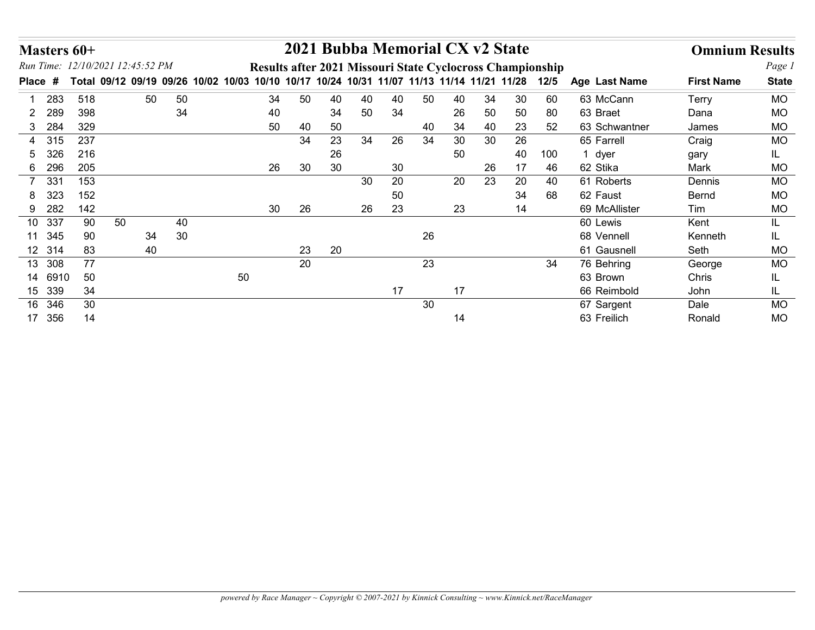|                       | Masters 60+ |                                  |    |                                                                                                |        |    |    | 2021 Bubba Memorial CX v2 State |    |      |                 |    |     |                           | <b>Omnium Results</b> |              |
|-----------------------|-------------|----------------------------------|----|------------------------------------------------------------------------------------------------|--------|----|----|---------------------------------|----|------|-----------------|----|-----|---------------------------|-----------------------|--------------|
|                       |             | Run Time: 12/10/2021 12:45:52 PM |    | Results after 2021 Missouri State Cyclocross Championship                                      |        |    |    |                                 |    |      |                 |    |     |                           |                       | Page 1       |
| Place #               |             |                                  |    | Total 09/12 09/19 09/26 10/02 10/03 10/10 10/17 10/24 10/31 11/07 11/13 11/14 11/21 11/28 12/5 |        |    |    |                                 |    |      |                 |    |     | Age Last Name             | <b>First Name</b>     | <b>State</b> |
| 283                   | 518         | 50                               | 50 | 34                                                                                             | 50     | 40 | 40 | 40                              | 50 | 40   | 34              | 30 | 60  | 63 McCann                 | Terry                 | <b>MO</b>    |
| 289<br>$\overline{2}$ | 398         |                                  | 34 | 40                                                                                             |        | 34 | 50 | 34                              |    | 26   | 50              | 50 | 80  | 63 Braet                  | Dana                  | <b>MO</b>    |
| 3 284                 | 329         |                                  |    | 50                                                                                             | 40     | 50 |    |                                 | 40 | 34   | 40              | 23 | 52  | 63 Schwantner             | James                 | <b>MO</b>    |
| 4 315                 | 237         |                                  |    |                                                                                                | 34     | 23 | 34 | 26                              | 34 | 30   | 30              | 26 |     | 65 Farrell                | Craig                 | <b>MO</b>    |
| 326<br>5              | 216         |                                  |    |                                                                                                |        | 26 |    |                                 |    | 50   |                 | 40 | 100 | 1 dyer                    | gary                  | IL.          |
| 296<br>6              | 205         |                                  |    | 26                                                                                             | $30\,$ | 30 |    | 30                              |    |      | 26              | 17 | 46  | 62 Stika                  | Mark                  | MO           |
| 7 331                 | 153         |                                  |    |                                                                                                |        |    | 30 | 20                              |    | 20   | $\overline{23}$ | 20 | 40  | 61 Roberts                | Dennis                | <b>MO</b>    |
| 323<br>8              | 152         |                                  |    |                                                                                                |        |    |    | 50                              |    |      |                 | 34 | 68  | 62 Faust                  | Bernd                 | <b>MO</b>    |
| 9 282                 | 142         |                                  |    | 30                                                                                             | 26     |    | 26 | 23                              |    | 23   |                 | 14 |     | 69 McAllister             | Tim                   | <b>MO</b>    |
| 10 337                | 90          | 50                               | 40 |                                                                                                |        |    |    |                                 |    |      |                 |    |     | 60 Lewis                  | Kent                  | IL           |
| 11 345                | 90          | 34                               | 30 |                                                                                                |        |    |    |                                 | 26 |      |                 |    |     | 68 Vennell                | Kenneth               | IL           |
| 12 314                | 83          | 40                               |    |                                                                                                | 23     | 20 |    |                                 |    |      |                 |    |     | 61 Gausnell               | Seth                  | <b>MO</b>    |
|                       | 77          |                                  |    |                                                                                                | 20     |    |    |                                 | 23 |      |                 |    | 34  | 76 Behring                | George                | MO           |
| 13 308                | $50\,$      |                                  |    | 50                                                                                             |        |    |    |                                 |    |      |                 |    |     | 63 Brown                  | Chris                 | IL           |
| 14 6910               |             |                                  |    |                                                                                                |        |    |    | 17                              |    | $17$ |                 |    |     | 66 Reimbold               | John                  | IL           |
| 15 339                | $34$        |                                  |    |                                                                                                |        |    |    |                                 | 30 |      |                 |    |     | 67 Sargent<br>63 Freilich | Dale<br>Ronald        | <b>MO</b>    |
| 16 346<br>17 356      | 30<br>14    |                                  |    |                                                                                                |        |    |    |                                 |    | 14   |                 |    |     |                           |                       | $\sf MO$     |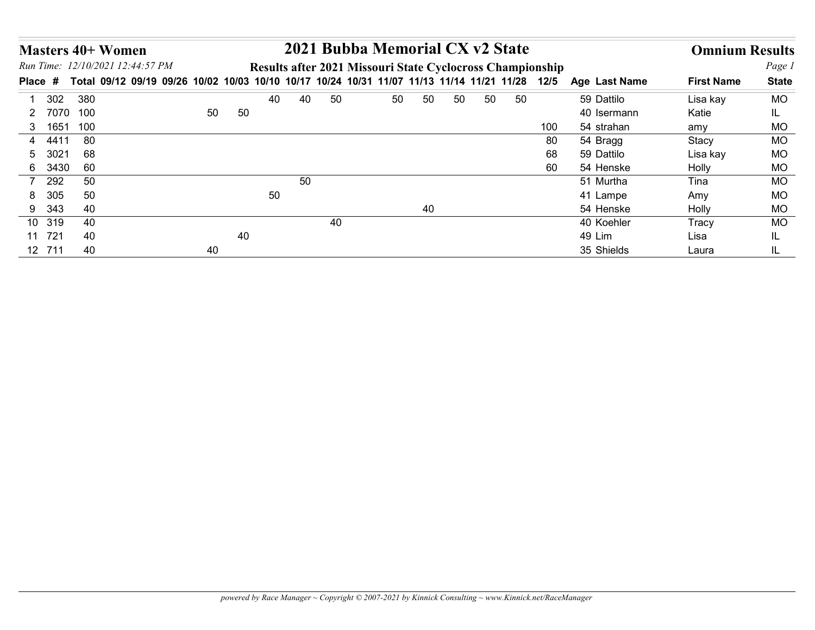|                         | <b>Masters 40+ Women</b>                                                                                             |    |    |    |    |    | 2021 Bubba Memorial CX v2 State                           |    |    |    |    |     |                      | <b>Omnium Results</b> |              |
|-------------------------|----------------------------------------------------------------------------------------------------------------------|----|----|----|----|----|-----------------------------------------------------------|----|----|----|----|-----|----------------------|-----------------------|--------------|
|                         | Run Time: 12/10/2021 12:44:57 PM                                                                                     |    |    |    |    |    | Results after 2021 Missouri State Cyclocross Championship |    |    |    |    |     |                      |                       | Page 1       |
|                         | Place # Total 09/12 09/19 09/26 10/02 10/03 10/10 10/17 10/24 10/31 11/07 11/13 11/14 11/21 11/28 12/5 Age Last Name |    |    |    |    |    |                                                           |    |    |    |    |     |                      | <b>First Name</b>     | <b>State</b> |
| 302<br>$\mathbf{1}$     | 380                                                                                                                  |    |    | 40 | 40 | 50 | 50                                                        | 50 | 50 | 50 | 50 |     | 59 Dattilo           | Lisa kay              | <b>MO</b>    |
|                         | 2 7070 100                                                                                                           | 50 | 50 |    |    |    |                                                           |    |    |    |    |     | 40 Isermann          | Katie                 | IL.          |
| 3 1651                  | 100                                                                                                                  |    |    |    |    |    |                                                           |    |    |    |    | 100 | 54 strahan           | amy                   | <b>MO</b>    |
|                         |                                                                                                                      |    |    |    |    |    |                                                           |    |    |    |    | 80  | 54 Bragg             | Stacy                 | <b>MO</b>    |
| 4 4411                  | 80                                                                                                                   |    |    |    |    |    |                                                           |    |    |    |    | 68  | 59 Dattilo           | Lisa kay              | <b>MO</b>    |
| 3021<br>$5\overline{)}$ | 68                                                                                                                   |    |    |    |    |    |                                                           |    |    |    |    |     |                      |                       |              |
| 6 3430                  | 60                                                                                                                   |    |    |    |    |    |                                                           |    |    |    |    | 60  | 54 Henske            | Holly                 | <b>MO</b>    |
| 292<br>$\overline{7}$   | 50                                                                                                                   |    |    |    | 50 |    |                                                           |    |    |    |    |     | 51 Murtha            | Tina                  | <b>MO</b>    |
| 305<br>8                | 50                                                                                                                   |    |    | 50 |    |    |                                                           |    |    |    |    |     | 41 Lampe             | Amy                   | <b>MO</b>    |
| 9 343                   | 40                                                                                                                   |    |    |    |    |    |                                                           | 40 |    |    |    |     | 54 Henske            | Holly                 | <b>MO</b>    |
| 10 319                  | 40                                                                                                                   |    |    |    |    | 40 |                                                           |    |    |    |    |     | 40 Koehler           | Tracy                 | <b>MO</b>    |
| 11 721<br>12 711        | 40<br>40                                                                                                             | 40 | 40 |    |    |    |                                                           |    |    |    |    |     | 49 Lim<br>35 Shields | Lisa<br>Laura         | IL.<br>IL.   |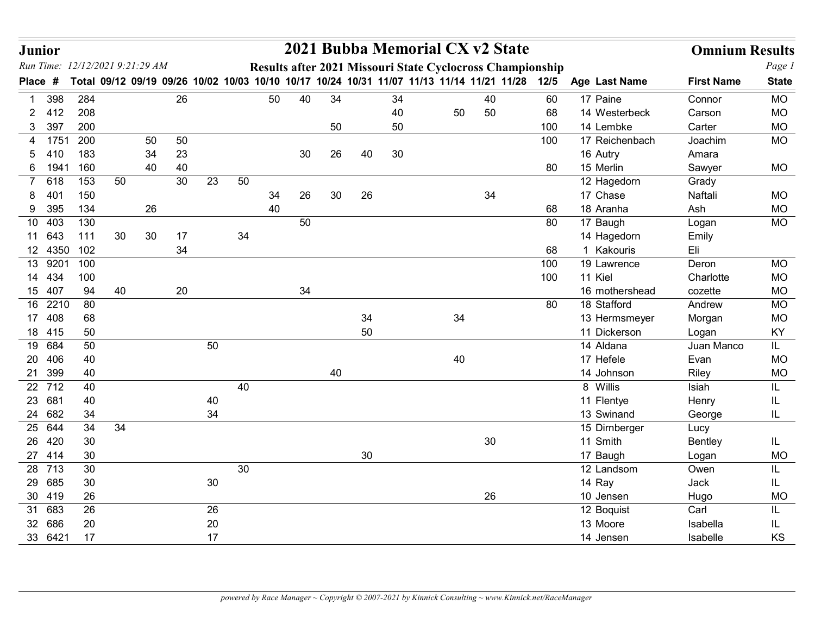| <b>Junior</b>                                        |             |        |    |    |    |    |    |    |    |                 |    | 2021 Bubba Memorial CX v2 State                                                                |        |                                                           |                              | <b>Omnium Results</b> |                        |
|------------------------------------------------------|-------------|--------|----|----|----|----|----|----|----|-----------------|----|------------------------------------------------------------------------------------------------|--------|-----------------------------------------------------------|------------------------------|-----------------------|------------------------|
| Run Time: 12/12/2021 9:21:29 AM<br><b>Place</b><br># |             |        |    |    |    |    |    |    |    |                 |    | Total 09/12 09/19 09/26 10/02 10/03 10/10 10/17 10/24 10/31 11/07 11/13 11/14 11/21 11/28 12/5 |        | Results after 2021 Missouri State Cyclocross Championship | Age Last Name                | <b>First Name</b>     | Page 1<br><b>State</b> |
| 398                                                  | 284         |        |    | 26 |    |    | 50 | 40 | 34 |                 | 34 |                                                                                                | 40     | 60                                                        | 17 Paine                     | Connor                | <b>MO</b>              |
| 412<br>2.                                            | 208         |        |    |    |    |    |    |    |    |                 | 40 | 50                                                                                             | 50     | 68                                                        | 14 Westerbeck                | Carson                | <b>MO</b>              |
| 397<br>3                                             | 200         |        |    |    |    |    |    |    | 50 |                 | 50 |                                                                                                |        | 100                                                       | 14 Lembke                    | Carter                | <b>MO</b>              |
| 1751<br>4                                            | 200         |        | 50 | 50 |    |    |    |    |    |                 |    |                                                                                                |        | 100                                                       | 17 Reichenbach               | Joachim               | <b>MO</b>              |
| 410                                                  | 183         |        | 34 | 23 |    |    |    | 30 | 26 | 40              | 30 |                                                                                                |        |                                                           | 16 Autry                     | Amara                 |                        |
| 6 1941                                               | 160         |        | 40 | 40 |    |    |    |    |    |                 |    |                                                                                                |        | 80                                                        | 15 Merlin                    | Sawyer                | MO                     |
| 618<br>401                                           | 153<br>150  | 50     |    | 30 | 23 | 50 | 34 | 26 | 30 | 26              |    |                                                                                                | 34     |                                                           | 12 Hagedorn<br>17 Chase      | Grady<br>Naftali      | <b>MO</b>              |
| 395<br>9                                             | 134         |        | 26 |    |    |    | 40 |    |    |                 |    |                                                                                                |        | 68                                                        | 18 Aranha                    | Ash                   | MO                     |
| 403<br>10                                            | 130         |        |    |    |    |    |    | 50 |    |                 |    |                                                                                                |        | 80                                                        | 17 Baugh                     | Logan                 | <b>MO</b>              |
| 11 643                                               | 111         | 30     | 30 | 17 |    | 34 |    |    |    |                 |    |                                                                                                |        |                                                           | 14 Hagedorn                  | Emily                 |                        |
|                                                      | 12 4350 102 |        |    | 34 |    |    |    |    |    |                 |    |                                                                                                |        | 68                                                        | 1 Kakouris                   | Eli                   |                        |
|                                                      | 13 9201 100 |        |    |    |    |    |    |    |    |                 |    |                                                                                                |        | 100                                                       | 19 Lawrence                  | Deron                 | MO                     |
| 14 434                                               | 100         |        |    |    |    |    |    |    |    |                 |    |                                                                                                |        | 100                                                       | 11 Kiel                      | Charlotte             | <b>MO</b>              |
| 15 407                                               | 94          | 40     |    | 20 |    |    |    | 34 |    |                 |    |                                                                                                |        |                                                           | 16 mothershead               | cozette               | MO                     |
| 16 2210<br>17 408                                    | 80<br>68    |        |    |    |    |    |    |    |    | 34              |    | 34                                                                                             |        | 80                                                        | 18 Stafford<br>13 Hermsmeyer | Andrew<br>Morgan      | MO<br>$MO$             |
| 18 415                                               | 50          |        |    |    |    |    |    |    |    | 50              |    |                                                                                                |        |                                                           | 11 Dickerson                 | Logan                 | KY                     |
| 19 684                                               | 50          |        |    |    | 50 |    |    |    |    |                 |    |                                                                                                |        |                                                           | 14 Aldana                    | Juan Manco            | IL.                    |
| 20 406                                               | 40          |        |    |    |    |    |    |    |    |                 |    | 40                                                                                             |        |                                                           | 17 Hefele                    | Evan                  | $MO$                   |
| 21 399                                               | 40          |        |    |    |    |    |    |    | 40 |                 |    |                                                                                                |        |                                                           | 14 Johnson                   | Riley                 | $MO$                   |
| 22 712                                               | 40          |        |    |    |    | 40 |    |    |    |                 |    |                                                                                                |        |                                                           | 8 Willis                     | Isiah                 | IL                     |
| 23 681                                               | 40          |        |    |    | 40 |    |    |    |    |                 |    |                                                                                                |        |                                                           | 11 Flentye                   | Henry                 |                        |
| 24 682                                               | 34          |        |    |    | 34 |    |    |    |    |                 |    |                                                                                                |        |                                                           | 13 Swinand                   | George                | IL                     |
| 25 644<br>26 420                                     | 34<br>30    | $34\,$ |    |    |    |    |    |    |    |                 |    |                                                                                                | $30\,$ |                                                           | 15 Dirnberger<br>11 Smith    | Lucy<br>Bentley       |                        |
| 27 414                                               | $30\,$      |        |    |    |    |    |    |    |    | 30 <sup>°</sup> |    |                                                                                                |        |                                                           | 17 Baugh                     | Logan                 | IL.<br>MO              |
| 28 713                                               | 30          |        |    |    |    | 30 |    |    |    |                 |    |                                                                                                |        |                                                           | 12 Landsom                   | Owen                  | IL                     |
| 29 685                                               | 30          |        |    |    | 30 |    |    |    |    |                 |    |                                                                                                |        |                                                           | 14 Ray                       | Jack                  | IL.                    |
| 30 419                                               | 26          |        |    |    |    |    |    |    |    |                 |    |                                                                                                | $26\,$ |                                                           | 10 Jensen                    | Hugo                  | MO                     |
| 31 683                                               | 26          |        |    |    | 26 |    |    |    |    |                 |    |                                                                                                |        |                                                           | 12 Boquist                   | Carl                  | IL                     |
| 32 686                                               | 20          |        |    |    | 20 |    |    |    |    |                 |    |                                                                                                |        |                                                           | 13 Moore                     | Isabella              | IL.                    |
| 33 6421                                              | 17          |        |    |    | 17 |    |    |    |    |                 |    |                                                                                                |        |                                                           | 14 Jensen                    | Isabelle              | KS                     |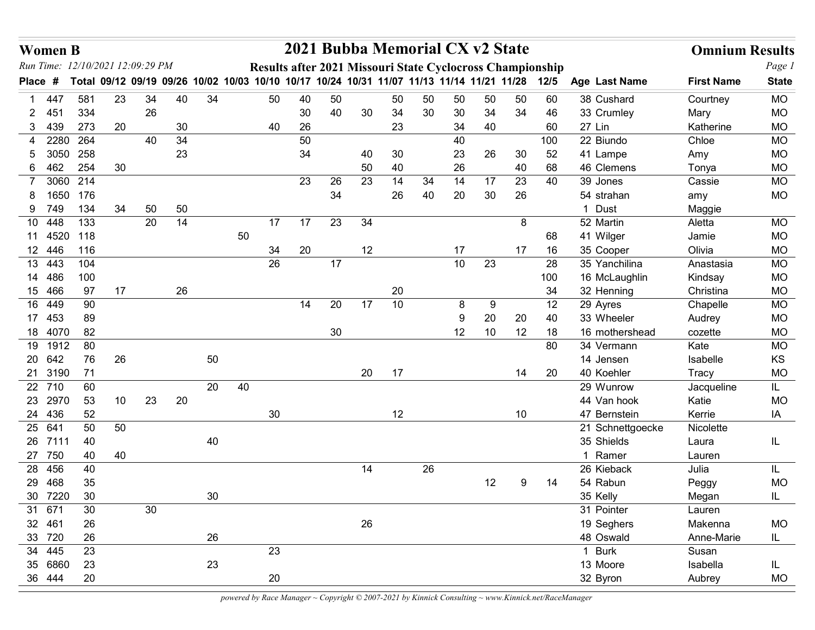| <b>Women B</b>       |                                                                                           |    |          |          |    |    |    |          |                 | 2021 Bubba Memorial CX v2 State                           |          |    |          |             |    |          |                             | <b>Omnium Results</b> |                        |
|----------------------|-------------------------------------------------------------------------------------------|----|----------|----------|----|----|----|----------|-----------------|-----------------------------------------------------------|----------|----|----------|-------------|----|----------|-----------------------------|-----------------------|------------------------|
|                      | Run Time: 12/10/2021 12:09:29 PM                                                          |    |          |          |    |    |    |          |                 | Results after 2021 Missouri State Cyclocross Championship |          |    |          |             |    |          |                             |                       | Page 1                 |
| <b>Place</b><br>#    | Total 09/12 09/19 09/26 10/02 10/03 10/10 10/17 10/24 10/31 11/07 11/13 11/14 11/21 11/28 |    |          |          |    |    |    |          |                 |                                                           |          |    |          |             |    | 12/5     | Age Last Name               | <b>First Name</b>     | <b>State</b>           |
| 447                  | 581                                                                                       | 23 | 34       | 40       | 34 |    | 50 | 40       | 50              |                                                           | 50       | 50 | 50       | 50          | 50 | 60       | 38 Cushard                  | Courtney              | <b>MO</b>              |
| -451<br>439<br>3     | 334<br>273                                                                                | 20 | 26       | 30       |    |    | 40 | 30<br>26 | 40              | 30                                                        | 34<br>23 | 30 | 30<br>34 | 34<br>40    | 34 | 46<br>60 | 33 Crumley<br>27 Lin        | Mary<br>Katherine     | <b>MO</b><br><b>MO</b> |
| 2280<br>4            | 264                                                                                       |    | 40       | 34       |    |    |    | 50       |                 |                                                           |          |    | 40       |             |    | 100      | 22 Biundo                   | Chloe                 | MO                     |
| 3050                 | 258                                                                                       |    |          | 23       |    |    |    | 34       |                 | 40                                                        | 30       |    | 23       | 26          | 30 | 52       | 41 Lampe                    | Amy                   | <b>MO</b>              |
| 462<br>6.            | 254                                                                                       | 30 |          |          |    |    |    |          |                 | 50                                                        | 40       |    | 26       |             | 40 | 68       | 46 Clemens                  | Tonya                 | <b>MO</b>              |
|                      | 3060 214                                                                                  |    |          |          |    |    |    | 23       | 26              | 23                                                        | 14       | 34 | 14       | 17          | 23 | 40       | 39 Jones                    | Cassie                | <b>MO</b>              |
| 1650                 | 176                                                                                       |    |          |          |    |    |    |          | 34              |                                                           | 26       | 40 | 20       | 30          | 26 |          | 54 strahan                  | amy                   | <b>MO</b>              |
| 9 749                | 134                                                                                       | 34 | 50<br>20 | 50<br>14 |    |    | 17 | 17       | 23              | 34                                                        |          |    |          |             | 8  |          | 1 Dust<br>52 Martin         | Maggie                |                        |
| 448<br>10<br>11 4520 | 133<br>118                                                                                |    |          |          |    | 50 |    |          |                 |                                                           |          |    |          |             |    | 68       | 41 Wilger                   | Aletta<br>Jamie       | <b>MO</b><br><b>MO</b> |
| 12 446               | 116                                                                                       |    |          |          |    |    | 34 | 20       |                 | 12                                                        |          |    | 17       |             | 17 | 16       | 35 Cooper                   | Olivia                | <b>MO</b>              |
| 13<br>443            | 104                                                                                       |    |          |          |    |    | 26 |          | 17              |                                                           |          |    | 10       | 23          |    | 28       | 35 Yanchilina               | Anastasia             | MO                     |
| 14 486               | 100                                                                                       |    |          |          |    |    |    |          |                 |                                                           |          |    |          |             |    | 100      | 16 McLaughlin               | Kindsay               | <b>MO</b>              |
| 15 466               | 97                                                                                        | 17 |          | 26       |    |    |    |          |                 |                                                           | 20       |    |          |             |    | 34       | 32 Henning                  | Christina             | <b>MO</b>              |
| 16 449<br>17 453     | 90<br>89                                                                                  |    |          |          |    |    |    | 14       | 20              | 17                                                        | 10       |    | 8<br>9   | 9<br>$20\,$ | 20 | 12<br>40 | 29 Ayres<br>33 Wheeler      | Chapelle<br>Audrey    | <b>MO</b><br><b>MO</b> |
| 18 4070              | 82                                                                                        |    |          |          |    |    |    |          | 30 <sup>°</sup> |                                                           |          |    | 12       | 10          | 12 | 18       | 16 mothershead              | cozette               | <b>MO</b>              |
| 19 1912              | 80                                                                                        |    |          |          |    |    |    |          |                 |                                                           |          |    |          |             |    | 80       | 34 Vermann                  | Kate                  | <b>MO</b>              |
| 20 642               | 76                                                                                        | 26 |          |          | 50 |    |    |          |                 |                                                           |          |    |          |             |    |          | 14 Jensen                   | Isabelle              | KS                     |
| 21 3190              | 71                                                                                        |    |          |          |    |    |    |          |                 | 20                                                        | 17       |    |          |             | 14 | 20       | 40 Koehler                  | Tracy                 | <b>MO</b>              |
| $\overline{22}$ 710  | 60                                                                                        |    |          |          | 20 | 40 |    |          |                 |                                                           |          |    |          |             |    |          | 29 Wunrow                   | Jacqueline            | IL                     |
| 23 2970<br>24 436    | 53<br>52                                                                                  | 10 | 23       | 20       |    |    | 30 |          |                 |                                                           | 12       |    |          |             | 10 |          | 44 Van hook<br>47 Bernstein | Katie<br>Kerrie       | MO<br>IA               |
| 25 641               | 50                                                                                        | 50 |          |          |    |    |    |          |                 |                                                           |          |    |          |             |    |          | 21 Schnettgoecke            | Nicolette             |                        |
| 26 7111              | 40                                                                                        |    |          |          | 40 |    |    |          |                 |                                                           |          |    |          |             |    |          | 35 Shields                  | Laura                 | IL.                    |
| 27 750               | 40                                                                                        | 40 |          |          |    |    |    |          |                 |                                                           |          |    |          |             |    |          | 1 Ramer                     | Lauren                |                        |
| 28 456               | 40                                                                                        |    |          |          |    |    |    |          |                 | 14                                                        |          | 26 |          |             |    |          | 26 Kieback                  | Julia                 | IL.                    |
| 29 468               | 35                                                                                        |    |          |          |    |    |    |          |                 |                                                           |          |    |          | 12          | 9  | 14       | 54 Rabun                    | Peggy                 | <b>MO</b>              |
| 30 7220              | 30                                                                                        |    |          |          | 30 |    |    |          |                 |                                                           |          |    |          |             |    |          | 35 Kelly                    | Megan                 | IL.                    |
| 31 671<br>32 461     | $30\,$<br>26                                                                              |    | 30       |          |    |    |    |          |                 | 26                                                        |          |    |          |             |    |          | 31 Pointer<br>19 Seghers    | Lauren<br>Makenna     | MO                     |
| 33 720               | 26                                                                                        |    |          |          | 26 |    |    |          |                 |                                                           |          |    |          |             |    |          | 48 Oswald                   | Anne-Marie            | IL.                    |
| 34 445               | 23                                                                                        |    |          |          |    |    | 23 |          |                 |                                                           |          |    |          |             |    |          | 1 Burk                      | Susan                 |                        |
| 35 6860              | 23                                                                                        |    |          |          | 23 |    |    |          |                 |                                                           |          |    |          |             |    |          | 13 Moore                    | Isabella              | IL.                    |
| 36 444               | $20\,$                                                                                    |    |          |          |    |    | 20 |          |                 |                                                           |          |    |          |             |    |          | 32 Byron                    | Aubrey                | <b>MO</b>              |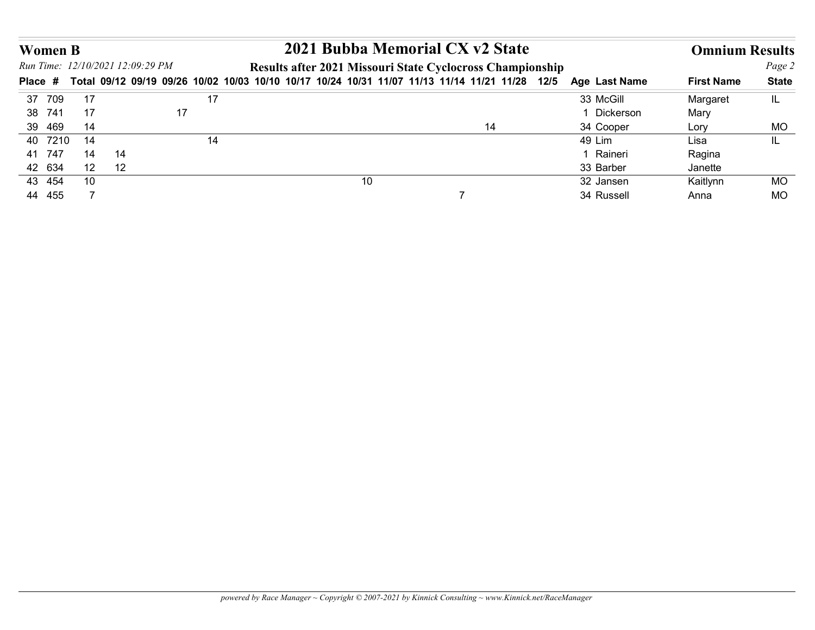|                                                    |    |    |    |    | 2021 Bubba Memorial CX v2 State                                                                                                                             |               |                       |                        |
|----------------------------------------------------|----|----|----|----|-------------------------------------------------------------------------------------------------------------------------------------------------------------|---------------|-----------------------|------------------------|
| <b>Women B</b><br>Run Time: 12/10/2021 12:09:29 PM |    |    |    |    |                                                                                                                                                             |               | <b>Omnium Results</b> |                        |
|                                                    |    |    |    |    | Results after 2021 Missouri State Cyclocross Championship<br>Total 09/12 09/19 09/26 10/02 10/03 10/10 10/17 10/24 10/31 11/07 11/13 11/14 11/21 11/28 12/5 | Age Last Name | <b>First Name</b>     | Page 2<br><b>State</b> |
| Place #<br>37 709                                  | 17 |    | 17 |    |                                                                                                                                                             | 33 McGill     | Margaret              | IL.                    |
| 38 741                                             | 17 |    | 17 |    |                                                                                                                                                             | 1 Dickerson   | Mary                  |                        |
| 39 469                                             | 14 |    |    |    | 14                                                                                                                                                          | 34 Cooper     | Lory                  | <b>MO</b>              |
| 40 7210                                            | 14 |    | 14 |    |                                                                                                                                                             | 49 Lim        | Lisa                  | IL.                    |
| 41 747                                             | 14 | 14 |    |    |                                                                                                                                                             | 1 Raineri     | Ragina                |                        |
| 42 634                                             | 12 | 12 |    |    |                                                                                                                                                             | 33 Barber     | Janette               |                        |
| 43 454                                             | 10 |    |    | 10 |                                                                                                                                                             | 32 Jansen     | Kaitlynn              | <b>MO</b>              |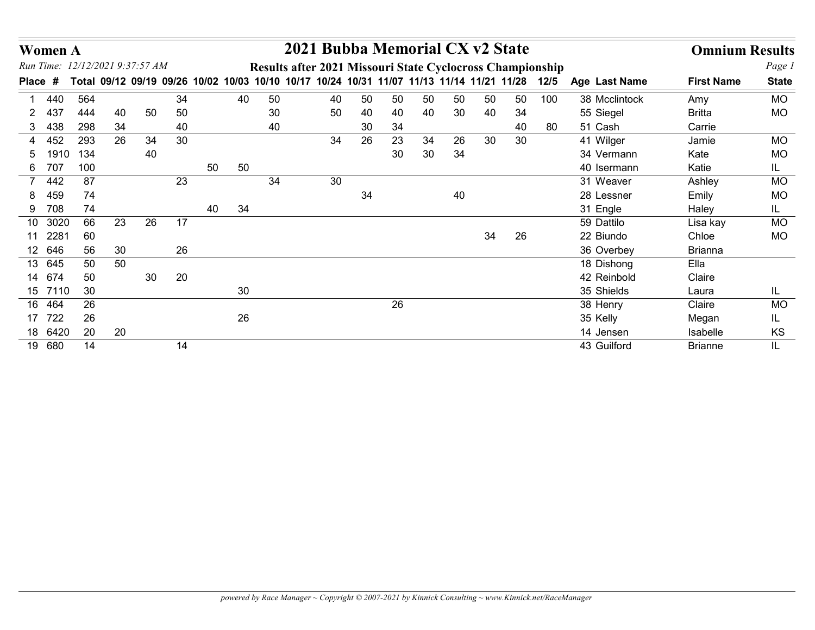| <b>Women A</b>                  |        |        |    |          |    |    |                                                                                                | 2021 Bubba Memorial CX v2 State |    |    |    |    |    |    |     |               | <b>Omnium Results</b> |               |
|---------------------------------|--------|--------|----|----------|----|----|------------------------------------------------------------------------------------------------|---------------------------------|----|----|----|----|----|----|-----|---------------|-----------------------|---------------|
| Run Time: 12/12/2021 9:37:57 AM |        |        |    |          |    |    | Results after 2021 Missouri State Cyclocross Championship                                      |                                 |    |    |    |    |    |    |     |               |                       | Page 1        |
| Place #                         |        |        |    |          |    |    | Total 09/12 09/19 09/26 10/02 10/03 10/10 10/17 10/24 10/31 11/07 11/13 11/14 11/21 11/28 12/5 |                                 |    |    |    |    |    |    |     | Age Last Name | <b>First Name</b>     | <b>State</b>  |
|                                 | 440    | 564    |    | 34       |    | 40 | 50                                                                                             | 40                              | 50 | 50 | 50 | 50 | 50 | 50 | 100 | 38 Mcclintock | Amy                   | <b>MO</b>     |
| 437<br>2.                       |        | 444    | 40 | 50<br>50 |    |    | 30                                                                                             | 50                              | 40 | 40 | 40 | 30 | 40 | 34 |     | 55 Siegel     | <b>Britta</b>         | <b>MO</b>     |
| 438<br>3                        |        | 298    | 34 | 40       |    |    | 40                                                                                             |                                 | 30 | 34 |    |    |    | 40 | 80  | 51 Cash       | Carrie                |               |
| 4 452                           |        | 293    | 26 | 34<br>30 |    |    |                                                                                                | 34                              | 26 | 23 | 34 | 26 | 30 | 30 |     | 41 Wilger     | Jamie                 | <b>MO</b>     |
| 5                               | 1910   | 134    |    | 40       |    |    |                                                                                                |                                 |    | 30 | 30 | 34 |    |    |     | 34 Vermann    | Kate                  | <b>MO</b>     |
| 707<br>6                        |        | 100    |    |          | 50 | 50 |                                                                                                |                                 |    |    |    |    |    |    |     | 40 Isermann   | Katie                 | IL.           |
| 7 442                           |        | 87     |    | 23       |    |    | 34                                                                                             | 30                              |    |    |    |    |    |    |     | 31 Weaver     | Ashley                | <b>MO</b>     |
| 8                               | 459    | 74     |    |          |    |    |                                                                                                |                                 | 34 |    |    | 40 |    |    |     | 28 Lessner    | Emily                 | <b>MO</b>     |
| 708<br>9                        |        | 74     |    |          | 40 | 34 |                                                                                                |                                 |    |    |    |    |    |    |     | 31 Engle      | Haley                 | IL.           |
| 10 3020                         |        | 66     | 23 | 17<br>26 |    |    |                                                                                                |                                 |    |    |    |    |    |    |     | 59 Dattilo    | Lisa kay              | <b>MO</b>     |
| 11 2281                         |        | 60     |    |          |    |    |                                                                                                |                                 |    |    |    |    | 34 | 26 |     | 22 Biundo     | Chloe                 | <b>MO</b>     |
| 12 646                          |        | 56     | 30 | 26       |    |    |                                                                                                |                                 |    |    |    |    |    |    |     | 36 Overbey    | <b>Brianna</b>        |               |
| 13 645                          |        | 50     | 50 |          |    |    |                                                                                                |                                 |    |    |    |    |    |    |     | 18 Dishong    | Ella                  |               |
| 14 674                          |        | 50     |    | 30<br>20 |    |    |                                                                                                |                                 |    |    |    |    |    |    |     | 42 Reinbold   | Claire                |               |
| 15 7110                         |        | $30\,$ |    |          |    | 30 |                                                                                                |                                 |    |    |    |    |    |    |     | 35 Shields    | Laura                 | IL.           |
| 16 464                          |        | $26\,$ |    |          |    |    |                                                                                                |                                 |    | 26 |    |    |    |    |     | 38 Henry      | Claire                | MO            |
| 17 722                          |        | 26     |    |          |    | 26 |                                                                                                |                                 |    |    |    |    |    |    |     | 35 Kelly      | Megan                 | IL.           |
| 18 6420                         |        | 20     | 20 |          |    |    |                                                                                                |                                 |    |    |    |    |    |    |     | 14 Jensen     | Isabelle              | $\mathsf{KS}$ |
|                                 | 19 680 | 14     |    | 14       |    |    |                                                                                                |                                 |    |    |    |    |    |    |     | 43 Guilford   | <b>Brianne</b>        | IL.           |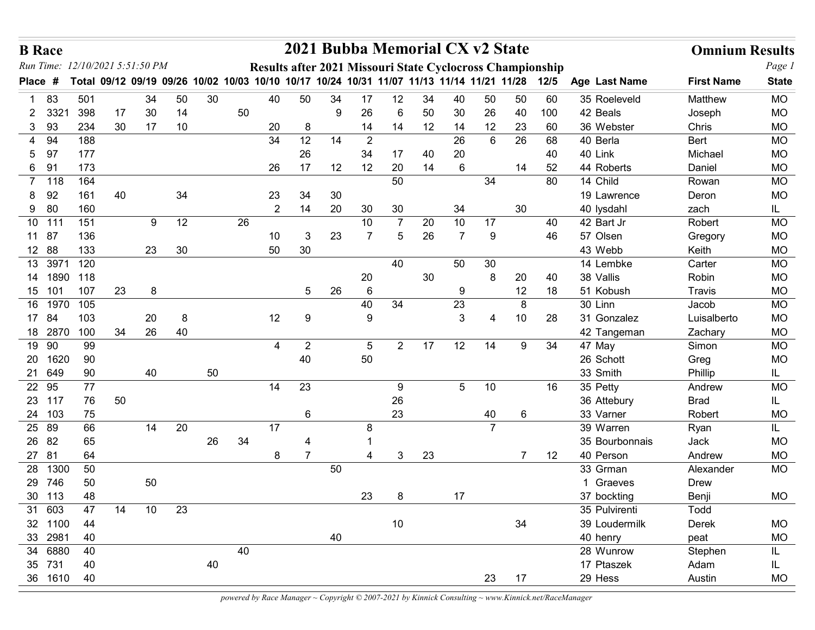| 12/10/2021 5:51:50 PM<br>Run Time:<br>Results after 2021 Missouri State Cyclocross Championship<br>Total 09/12 09/19 09/26 10/02 10/03 10/10 10/17 10/24 10/31 11/07 11/13 11/14 11/21 11/28<br><b>State</b><br>12/5<br>Age Last Name<br><b>First Name</b><br><b>Place</b><br>#<br>34<br>30<br>50<br>50<br>60<br>83<br>501<br>50<br>40<br>34<br>17<br>12<br>34<br>40<br>50<br>35 Roeleveld<br>Matthew<br><b>MO</b><br>14<br>50<br>50<br>398<br>30<br>9<br>26<br>6<br>30<br>26<br>40<br>100<br>42 Beals<br><b>MO</b><br>3321<br>17<br>$\mathbf{2}^-$<br>Joseph<br>12<br>17<br>10<br>14<br>14<br>12<br>3 93<br>234<br>30<br>20<br>23<br>60<br>36 Webster<br>Chris<br><b>MO</b><br>8<br>14<br>12<br>$\overline{2}$<br>26<br>94<br>188<br>34<br>14<br>6<br>26<br>68<br>40 Berla<br>Bert<br><b>MO</b><br>4<br>177<br>26<br>40 Link<br>97<br>34<br>17<br>20<br>40<br>Michael<br><b>MO</b><br>5<br>40<br>6 91<br>173<br>26<br>17<br>12<br>20<br>14<br>6<br>52<br>44 Roberts<br>Daniel<br><b>MO</b><br>12<br>14<br>80<br>164<br>50<br>14 Child<br><b>MO</b><br>7 118<br>34<br>Rowan<br>92<br>34<br>161<br>40<br>23<br>34<br>30<br><b>MO</b><br>19 Lawrence<br>Deron<br>8.<br>9 80<br>$\overline{2}$<br>20<br>160<br>14<br>30<br>30<br>34<br>30<br>40 lysdahl<br>zach<br>IL.<br>10 111<br>151<br>9<br>12<br>26<br>$\overline{7}$<br>20<br>10<br>17<br>40<br>42 Bart Jr<br>Robert<br><b>MO</b><br>10<br>11 87<br>23<br>26<br>9<br>46<br>57 Olsen<br><b>MO</b><br>136<br>10<br>3<br>7<br>5<br>7<br>Gregory<br>30<br>12 88<br>133<br>30<br>50<br><b>MO</b><br>23<br>43 Webb<br>Keith<br>13<br>3971 120<br>40<br>50<br>30<br>14 Lembke<br>Carter<br>MO<br>14 1890 118<br>$30\,$<br><b>MO</b><br>20<br>8<br>20<br>38 Vallis<br>Robin<br>40<br>$\,6\,$<br>107<br>23<br>26<br>12<br>18<br><b>MO</b><br>15 101<br>8<br>$5\phantom{.0}$<br>9<br>51 Kobush<br>Travis<br>23<br>16 1970 105<br>40<br>34<br>8<br>30 Linn<br>MO<br>Jacob<br>103<br>12<br>$\mathbf{3}$<br>$10$<br>17 84<br>20<br>8<br>9<br>28<br>31 Gonzalez<br>Luisalberto<br>MO<br>9<br>4<br>26<br>40<br>18 2870<br>100<br>34<br>MO<br>42 Tangeman<br>Zachary<br>19 90<br>99<br>12<br>$\overline{2}$<br>$5\phantom{.0}$<br>$\overline{2}$<br>17<br>14<br>34<br><b>MO</b><br>9<br>47 May<br>Simon<br>4<br>40<br>$50\,$<br>20 1620<br>90<br><b>MO</b><br>26 Schott<br>Greg<br>50<br>21 649<br>90<br>33 Smith<br>40<br>Phillip<br>IL.<br>77<br>22 95<br>23<br>5 <sup>5</sup><br>10<br>14<br>16<br>35 Petty<br>MO<br>9<br>Andrew<br>23 117<br>76<br>26<br>50<br>36 Attebury<br><b>Brad</b><br>IL.<br>23<br>24 103<br>75<br>40<br>$6\phantom{.}6$<br>6<br>33 Varner<br>Robert<br><b>MO</b><br>20<br>25 89<br>66<br>14<br>17<br>$\overline{7}$<br>39 Warren<br>8<br>Ryan<br>IL.<br>26 82<br>26<br>34<br>65<br>35 Bourbonnais<br>Jack<br>MO<br>4<br>27 81<br>23<br>64<br>$\overline{7}$<br>$\mathbf{3}$<br>$\overline{7}$<br>12<br>40 Person<br>MO<br>8<br>Andrew<br>Δ<br>50<br>28 1300<br>50<br><b>MO</b><br>33 Grman<br>Alexander<br>29 746<br>50<br>50<br>1 Graeves<br>Drew<br>30 113<br>48<br>23<br>8<br>17<br>MO<br>37 bockting<br>Benji<br>31 603<br>47<br>10 <sup>°</sup><br>23<br>14<br>35 Pulvirenti<br>Todd<br>34<br>32 1100<br>44<br>10<br>MO<br>39 Loudermilk<br>Derek<br>33 2981<br>40<br>40<br>40 henry<br><b>MO</b><br>peat<br>34 6880<br>40<br>40<br>28 Wunrow<br>Stephen<br>IL.<br>35 731<br>40<br>40<br>17 Ptaszek<br>Adam<br>IL. | <b>B</b> Race |  |  |  |  | 2021 Bubba Memorial CX v2 State |  |  |  | <b>Omnium Results</b> |        |
|----------------------------------------------------------------------------------------------------------------------------------------------------------------------------------------------------------------------------------------------------------------------------------------------------------------------------------------------------------------------------------------------------------------------------------------------------------------------------------------------------------------------------------------------------------------------------------------------------------------------------------------------------------------------------------------------------------------------------------------------------------------------------------------------------------------------------------------------------------------------------------------------------------------------------------------------------------------------------------------------------------------------------------------------------------------------------------------------------------------------------------------------------------------------------------------------------------------------------------------------------------------------------------------------------------------------------------------------------------------------------------------------------------------------------------------------------------------------------------------------------------------------------------------------------------------------------------------------------------------------------------------------------------------------------------------------------------------------------------------------------------------------------------------------------------------------------------------------------------------------------------------------------------------------------------------------------------------------------------------------------------------------------------------------------------------------------------------------------------------------------------------------------------------------------------------------------------------------------------------------------------------------------------------------------------------------------------------------------------------------------------------------------------------------------------------------------------------------------------------------------------------------------------------------------------------------------------------------------------------------------------------------------------------------------------------------------------------------------------------------------------------------------------------------------------------------------------------------------------------------------------------------------------------------------------------------------------------------------------------------------------------------------------------------------------------------------------------------------------------------------------------------------------------------------------------------------------------------------------------------------------------------------------------------------------------------------------------------------------------------------------------|---------------|--|--|--|--|---------------------------------|--|--|--|-----------------------|--------|
|                                                                                                                                                                                                                                                                                                                                                                                                                                                                                                                                                                                                                                                                                                                                                                                                                                                                                                                                                                                                                                                                                                                                                                                                                                                                                                                                                                                                                                                                                                                                                                                                                                                                                                                                                                                                                                                                                                                                                                                                                                                                                                                                                                                                                                                                                                                                                                                                                                                                                                                                                                                                                                                                                                                                                                                                                                                                                                                                                                                                                                                                                                                                                                                                                                                                                                                                                                                        |               |  |  |  |  |                                 |  |  |  |                       | Page 1 |
|                                                                                                                                                                                                                                                                                                                                                                                                                                                                                                                                                                                                                                                                                                                                                                                                                                                                                                                                                                                                                                                                                                                                                                                                                                                                                                                                                                                                                                                                                                                                                                                                                                                                                                                                                                                                                                                                                                                                                                                                                                                                                                                                                                                                                                                                                                                                                                                                                                                                                                                                                                                                                                                                                                                                                                                                                                                                                                                                                                                                                                                                                                                                                                                                                                                                                                                                                                                        |               |  |  |  |  |                                 |  |  |  |                       |        |
|                                                                                                                                                                                                                                                                                                                                                                                                                                                                                                                                                                                                                                                                                                                                                                                                                                                                                                                                                                                                                                                                                                                                                                                                                                                                                                                                                                                                                                                                                                                                                                                                                                                                                                                                                                                                                                                                                                                                                                                                                                                                                                                                                                                                                                                                                                                                                                                                                                                                                                                                                                                                                                                                                                                                                                                                                                                                                                                                                                                                                                                                                                                                                                                                                                                                                                                                                                                        |               |  |  |  |  |                                 |  |  |  |                       |        |
|                                                                                                                                                                                                                                                                                                                                                                                                                                                                                                                                                                                                                                                                                                                                                                                                                                                                                                                                                                                                                                                                                                                                                                                                                                                                                                                                                                                                                                                                                                                                                                                                                                                                                                                                                                                                                                                                                                                                                                                                                                                                                                                                                                                                                                                                                                                                                                                                                                                                                                                                                                                                                                                                                                                                                                                                                                                                                                                                                                                                                                                                                                                                                                                                                                                                                                                                                                                        |               |  |  |  |  |                                 |  |  |  |                       |        |
|                                                                                                                                                                                                                                                                                                                                                                                                                                                                                                                                                                                                                                                                                                                                                                                                                                                                                                                                                                                                                                                                                                                                                                                                                                                                                                                                                                                                                                                                                                                                                                                                                                                                                                                                                                                                                                                                                                                                                                                                                                                                                                                                                                                                                                                                                                                                                                                                                                                                                                                                                                                                                                                                                                                                                                                                                                                                                                                                                                                                                                                                                                                                                                                                                                                                                                                                                                                        |               |  |  |  |  |                                 |  |  |  |                       |        |
|                                                                                                                                                                                                                                                                                                                                                                                                                                                                                                                                                                                                                                                                                                                                                                                                                                                                                                                                                                                                                                                                                                                                                                                                                                                                                                                                                                                                                                                                                                                                                                                                                                                                                                                                                                                                                                                                                                                                                                                                                                                                                                                                                                                                                                                                                                                                                                                                                                                                                                                                                                                                                                                                                                                                                                                                                                                                                                                                                                                                                                                                                                                                                                                                                                                                                                                                                                                        |               |  |  |  |  |                                 |  |  |  |                       |        |
|                                                                                                                                                                                                                                                                                                                                                                                                                                                                                                                                                                                                                                                                                                                                                                                                                                                                                                                                                                                                                                                                                                                                                                                                                                                                                                                                                                                                                                                                                                                                                                                                                                                                                                                                                                                                                                                                                                                                                                                                                                                                                                                                                                                                                                                                                                                                                                                                                                                                                                                                                                                                                                                                                                                                                                                                                                                                                                                                                                                                                                                                                                                                                                                                                                                                                                                                                                                        |               |  |  |  |  |                                 |  |  |  |                       |        |
|                                                                                                                                                                                                                                                                                                                                                                                                                                                                                                                                                                                                                                                                                                                                                                                                                                                                                                                                                                                                                                                                                                                                                                                                                                                                                                                                                                                                                                                                                                                                                                                                                                                                                                                                                                                                                                                                                                                                                                                                                                                                                                                                                                                                                                                                                                                                                                                                                                                                                                                                                                                                                                                                                                                                                                                                                                                                                                                                                                                                                                                                                                                                                                                                                                                                                                                                                                                        |               |  |  |  |  |                                 |  |  |  |                       |        |
|                                                                                                                                                                                                                                                                                                                                                                                                                                                                                                                                                                                                                                                                                                                                                                                                                                                                                                                                                                                                                                                                                                                                                                                                                                                                                                                                                                                                                                                                                                                                                                                                                                                                                                                                                                                                                                                                                                                                                                                                                                                                                                                                                                                                                                                                                                                                                                                                                                                                                                                                                                                                                                                                                                                                                                                                                                                                                                                                                                                                                                                                                                                                                                                                                                                                                                                                                                                        |               |  |  |  |  |                                 |  |  |  |                       |        |
|                                                                                                                                                                                                                                                                                                                                                                                                                                                                                                                                                                                                                                                                                                                                                                                                                                                                                                                                                                                                                                                                                                                                                                                                                                                                                                                                                                                                                                                                                                                                                                                                                                                                                                                                                                                                                                                                                                                                                                                                                                                                                                                                                                                                                                                                                                                                                                                                                                                                                                                                                                                                                                                                                                                                                                                                                                                                                                                                                                                                                                                                                                                                                                                                                                                                                                                                                                                        |               |  |  |  |  |                                 |  |  |  |                       |        |
|                                                                                                                                                                                                                                                                                                                                                                                                                                                                                                                                                                                                                                                                                                                                                                                                                                                                                                                                                                                                                                                                                                                                                                                                                                                                                                                                                                                                                                                                                                                                                                                                                                                                                                                                                                                                                                                                                                                                                                                                                                                                                                                                                                                                                                                                                                                                                                                                                                                                                                                                                                                                                                                                                                                                                                                                                                                                                                                                                                                                                                                                                                                                                                                                                                                                                                                                                                                        |               |  |  |  |  |                                 |  |  |  |                       |        |
|                                                                                                                                                                                                                                                                                                                                                                                                                                                                                                                                                                                                                                                                                                                                                                                                                                                                                                                                                                                                                                                                                                                                                                                                                                                                                                                                                                                                                                                                                                                                                                                                                                                                                                                                                                                                                                                                                                                                                                                                                                                                                                                                                                                                                                                                                                                                                                                                                                                                                                                                                                                                                                                                                                                                                                                                                                                                                                                                                                                                                                                                                                                                                                                                                                                                                                                                                                                        |               |  |  |  |  |                                 |  |  |  |                       |        |
|                                                                                                                                                                                                                                                                                                                                                                                                                                                                                                                                                                                                                                                                                                                                                                                                                                                                                                                                                                                                                                                                                                                                                                                                                                                                                                                                                                                                                                                                                                                                                                                                                                                                                                                                                                                                                                                                                                                                                                                                                                                                                                                                                                                                                                                                                                                                                                                                                                                                                                                                                                                                                                                                                                                                                                                                                                                                                                                                                                                                                                                                                                                                                                                                                                                                                                                                                                                        |               |  |  |  |  |                                 |  |  |  |                       |        |
|                                                                                                                                                                                                                                                                                                                                                                                                                                                                                                                                                                                                                                                                                                                                                                                                                                                                                                                                                                                                                                                                                                                                                                                                                                                                                                                                                                                                                                                                                                                                                                                                                                                                                                                                                                                                                                                                                                                                                                                                                                                                                                                                                                                                                                                                                                                                                                                                                                                                                                                                                                                                                                                                                                                                                                                                                                                                                                                                                                                                                                                                                                                                                                                                                                                                                                                                                                                        |               |  |  |  |  |                                 |  |  |  |                       |        |
|                                                                                                                                                                                                                                                                                                                                                                                                                                                                                                                                                                                                                                                                                                                                                                                                                                                                                                                                                                                                                                                                                                                                                                                                                                                                                                                                                                                                                                                                                                                                                                                                                                                                                                                                                                                                                                                                                                                                                                                                                                                                                                                                                                                                                                                                                                                                                                                                                                                                                                                                                                                                                                                                                                                                                                                                                                                                                                                                                                                                                                                                                                                                                                                                                                                                                                                                                                                        |               |  |  |  |  |                                 |  |  |  |                       |        |
|                                                                                                                                                                                                                                                                                                                                                                                                                                                                                                                                                                                                                                                                                                                                                                                                                                                                                                                                                                                                                                                                                                                                                                                                                                                                                                                                                                                                                                                                                                                                                                                                                                                                                                                                                                                                                                                                                                                                                                                                                                                                                                                                                                                                                                                                                                                                                                                                                                                                                                                                                                                                                                                                                                                                                                                                                                                                                                                                                                                                                                                                                                                                                                                                                                                                                                                                                                                        |               |  |  |  |  |                                 |  |  |  |                       |        |
|                                                                                                                                                                                                                                                                                                                                                                                                                                                                                                                                                                                                                                                                                                                                                                                                                                                                                                                                                                                                                                                                                                                                                                                                                                                                                                                                                                                                                                                                                                                                                                                                                                                                                                                                                                                                                                                                                                                                                                                                                                                                                                                                                                                                                                                                                                                                                                                                                                                                                                                                                                                                                                                                                                                                                                                                                                                                                                                                                                                                                                                                                                                                                                                                                                                                                                                                                                                        |               |  |  |  |  |                                 |  |  |  |                       |        |
|                                                                                                                                                                                                                                                                                                                                                                                                                                                                                                                                                                                                                                                                                                                                                                                                                                                                                                                                                                                                                                                                                                                                                                                                                                                                                                                                                                                                                                                                                                                                                                                                                                                                                                                                                                                                                                                                                                                                                                                                                                                                                                                                                                                                                                                                                                                                                                                                                                                                                                                                                                                                                                                                                                                                                                                                                                                                                                                                                                                                                                                                                                                                                                                                                                                                                                                                                                                        |               |  |  |  |  |                                 |  |  |  |                       |        |
|                                                                                                                                                                                                                                                                                                                                                                                                                                                                                                                                                                                                                                                                                                                                                                                                                                                                                                                                                                                                                                                                                                                                                                                                                                                                                                                                                                                                                                                                                                                                                                                                                                                                                                                                                                                                                                                                                                                                                                                                                                                                                                                                                                                                                                                                                                                                                                                                                                                                                                                                                                                                                                                                                                                                                                                                                                                                                                                                                                                                                                                                                                                                                                                                                                                                                                                                                                                        |               |  |  |  |  |                                 |  |  |  |                       |        |
|                                                                                                                                                                                                                                                                                                                                                                                                                                                                                                                                                                                                                                                                                                                                                                                                                                                                                                                                                                                                                                                                                                                                                                                                                                                                                                                                                                                                                                                                                                                                                                                                                                                                                                                                                                                                                                                                                                                                                                                                                                                                                                                                                                                                                                                                                                                                                                                                                                                                                                                                                                                                                                                                                                                                                                                                                                                                                                                                                                                                                                                                                                                                                                                                                                                                                                                                                                                        |               |  |  |  |  |                                 |  |  |  |                       |        |
|                                                                                                                                                                                                                                                                                                                                                                                                                                                                                                                                                                                                                                                                                                                                                                                                                                                                                                                                                                                                                                                                                                                                                                                                                                                                                                                                                                                                                                                                                                                                                                                                                                                                                                                                                                                                                                                                                                                                                                                                                                                                                                                                                                                                                                                                                                                                                                                                                                                                                                                                                                                                                                                                                                                                                                                                                                                                                                                                                                                                                                                                                                                                                                                                                                                                                                                                                                                        |               |  |  |  |  |                                 |  |  |  |                       |        |
|                                                                                                                                                                                                                                                                                                                                                                                                                                                                                                                                                                                                                                                                                                                                                                                                                                                                                                                                                                                                                                                                                                                                                                                                                                                                                                                                                                                                                                                                                                                                                                                                                                                                                                                                                                                                                                                                                                                                                                                                                                                                                                                                                                                                                                                                                                                                                                                                                                                                                                                                                                                                                                                                                                                                                                                                                                                                                                                                                                                                                                                                                                                                                                                                                                                                                                                                                                                        |               |  |  |  |  |                                 |  |  |  |                       |        |
|                                                                                                                                                                                                                                                                                                                                                                                                                                                                                                                                                                                                                                                                                                                                                                                                                                                                                                                                                                                                                                                                                                                                                                                                                                                                                                                                                                                                                                                                                                                                                                                                                                                                                                                                                                                                                                                                                                                                                                                                                                                                                                                                                                                                                                                                                                                                                                                                                                                                                                                                                                                                                                                                                                                                                                                                                                                                                                                                                                                                                                                                                                                                                                                                                                                                                                                                                                                        |               |  |  |  |  |                                 |  |  |  |                       |        |
|                                                                                                                                                                                                                                                                                                                                                                                                                                                                                                                                                                                                                                                                                                                                                                                                                                                                                                                                                                                                                                                                                                                                                                                                                                                                                                                                                                                                                                                                                                                                                                                                                                                                                                                                                                                                                                                                                                                                                                                                                                                                                                                                                                                                                                                                                                                                                                                                                                                                                                                                                                                                                                                                                                                                                                                                                                                                                                                                                                                                                                                                                                                                                                                                                                                                                                                                                                                        |               |  |  |  |  |                                 |  |  |  |                       |        |
|                                                                                                                                                                                                                                                                                                                                                                                                                                                                                                                                                                                                                                                                                                                                                                                                                                                                                                                                                                                                                                                                                                                                                                                                                                                                                                                                                                                                                                                                                                                                                                                                                                                                                                                                                                                                                                                                                                                                                                                                                                                                                                                                                                                                                                                                                                                                                                                                                                                                                                                                                                                                                                                                                                                                                                                                                                                                                                                                                                                                                                                                                                                                                                                                                                                                                                                                                                                        |               |  |  |  |  |                                 |  |  |  |                       |        |
|                                                                                                                                                                                                                                                                                                                                                                                                                                                                                                                                                                                                                                                                                                                                                                                                                                                                                                                                                                                                                                                                                                                                                                                                                                                                                                                                                                                                                                                                                                                                                                                                                                                                                                                                                                                                                                                                                                                                                                                                                                                                                                                                                                                                                                                                                                                                                                                                                                                                                                                                                                                                                                                                                                                                                                                                                                                                                                                                                                                                                                                                                                                                                                                                                                                                                                                                                                                        |               |  |  |  |  |                                 |  |  |  |                       |        |
|                                                                                                                                                                                                                                                                                                                                                                                                                                                                                                                                                                                                                                                                                                                                                                                                                                                                                                                                                                                                                                                                                                                                                                                                                                                                                                                                                                                                                                                                                                                                                                                                                                                                                                                                                                                                                                                                                                                                                                                                                                                                                                                                                                                                                                                                                                                                                                                                                                                                                                                                                                                                                                                                                                                                                                                                                                                                                                                                                                                                                                                                                                                                                                                                                                                                                                                                                                                        |               |  |  |  |  |                                 |  |  |  |                       |        |
|                                                                                                                                                                                                                                                                                                                                                                                                                                                                                                                                                                                                                                                                                                                                                                                                                                                                                                                                                                                                                                                                                                                                                                                                                                                                                                                                                                                                                                                                                                                                                                                                                                                                                                                                                                                                                                                                                                                                                                                                                                                                                                                                                                                                                                                                                                                                                                                                                                                                                                                                                                                                                                                                                                                                                                                                                                                                                                                                                                                                                                                                                                                                                                                                                                                                                                                                                                                        |               |  |  |  |  |                                 |  |  |  |                       |        |
|                                                                                                                                                                                                                                                                                                                                                                                                                                                                                                                                                                                                                                                                                                                                                                                                                                                                                                                                                                                                                                                                                                                                                                                                                                                                                                                                                                                                                                                                                                                                                                                                                                                                                                                                                                                                                                                                                                                                                                                                                                                                                                                                                                                                                                                                                                                                                                                                                                                                                                                                                                                                                                                                                                                                                                                                                                                                                                                                                                                                                                                                                                                                                                                                                                                                                                                                                                                        |               |  |  |  |  |                                 |  |  |  |                       |        |
|                                                                                                                                                                                                                                                                                                                                                                                                                                                                                                                                                                                                                                                                                                                                                                                                                                                                                                                                                                                                                                                                                                                                                                                                                                                                                                                                                                                                                                                                                                                                                                                                                                                                                                                                                                                                                                                                                                                                                                                                                                                                                                                                                                                                                                                                                                                                                                                                                                                                                                                                                                                                                                                                                                                                                                                                                                                                                                                                                                                                                                                                                                                                                                                                                                                                                                                                                                                        |               |  |  |  |  |                                 |  |  |  |                       |        |
|                                                                                                                                                                                                                                                                                                                                                                                                                                                                                                                                                                                                                                                                                                                                                                                                                                                                                                                                                                                                                                                                                                                                                                                                                                                                                                                                                                                                                                                                                                                                                                                                                                                                                                                                                                                                                                                                                                                                                                                                                                                                                                                                                                                                                                                                                                                                                                                                                                                                                                                                                                                                                                                                                                                                                                                                                                                                                                                                                                                                                                                                                                                                                                                                                                                                                                                                                                                        |               |  |  |  |  |                                 |  |  |  |                       |        |
|                                                                                                                                                                                                                                                                                                                                                                                                                                                                                                                                                                                                                                                                                                                                                                                                                                                                                                                                                                                                                                                                                                                                                                                                                                                                                                                                                                                                                                                                                                                                                                                                                                                                                                                                                                                                                                                                                                                                                                                                                                                                                                                                                                                                                                                                                                                                                                                                                                                                                                                                                                                                                                                                                                                                                                                                                                                                                                                                                                                                                                                                                                                                                                                                                                                                                                                                                                                        |               |  |  |  |  |                                 |  |  |  |                       |        |
| 36 1610<br>40<br>23<br>17<br><b>MO</b><br>29 Hess<br>Austin                                                                                                                                                                                                                                                                                                                                                                                                                                                                                                                                                                                                                                                                                                                                                                                                                                                                                                                                                                                                                                                                                                                                                                                                                                                                                                                                                                                                                                                                                                                                                                                                                                                                                                                                                                                                                                                                                                                                                                                                                                                                                                                                                                                                                                                                                                                                                                                                                                                                                                                                                                                                                                                                                                                                                                                                                                                                                                                                                                                                                                                                                                                                                                                                                                                                                                                            |               |  |  |  |  |                                 |  |  |  |                       |        |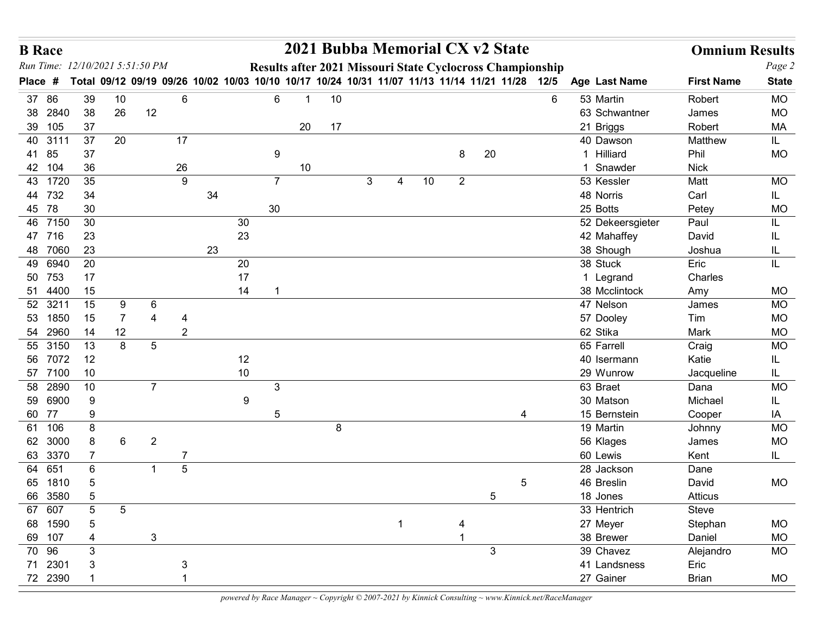| <b>B</b> Race      |         |                     |                |                                                                                                |                |    |          |                |    | 2021 Bubba Memorial CX v2 State                           |   |   |    |                |                |    |   |                                 | <b>Omnium Results</b> |                 |
|--------------------|---------|---------------------|----------------|------------------------------------------------------------------------------------------------|----------------|----|----------|----------------|----|-----------------------------------------------------------|---|---|----|----------------|----------------|----|---|---------------------------------|-----------------------|-----------------|
|                    |         |                     |                | Run Time: 12/10/2021 5:51:50 PM                                                                |                |    |          |                |    | Results after 2021 Missouri State Cyclocross Championship |   |   |    |                |                |    |   |                                 |                       | Page 2          |
| Place #            |         |                     |                | Total 09/12 09/19 09/26 10/02 10/03 10/10 10/17 10/24 10/31 11/07 11/13 11/14 11/21 11/28 12/5 |                |    |          |                |    |                                                           |   |   |    |                |                |    |   | Age Last Name                   | <b>First Name</b>     | <b>State</b>    |
| 37 86<br>38 2840   |         | 39<br>38            | 10<br>26       | 12                                                                                             | 6              |    |          | 6              |    | 10                                                        |   |   |    |                |                |    | 6 | 53 Martin<br>63 Schwantner      | Robert<br>James       | MO<br><b>MO</b> |
| 39 105             |         | 37                  |                |                                                                                                |                |    |          |                | 20 | 17                                                        |   |   |    |                |                |    |   | 21 Briggs                       | Robert                | MA              |
| 40 3111            |         | 37                  | 20             |                                                                                                | 17             |    |          |                |    |                                                           |   |   |    |                |                |    |   | 40 Dawson                       | Matthew               | IL.             |
| 41 85              |         | 37                  |                |                                                                                                |                |    |          | 9              |    |                                                           |   |   |    | 8              | 20             |    |   | 1 Hilliard                      | Phil                  | MO              |
| 42 104             |         | 36                  |                |                                                                                                | 26             |    |          |                | 10 |                                                           |   |   |    |                |                |    |   | 1 Snawder                       | <b>Nick</b>           |                 |
| 43 1720            |         | 35                  |                |                                                                                                | $9\,$          |    |          | $\overline{7}$ |    |                                                           | 3 | 4 | 10 | $\overline{2}$ |                |    |   | 53 Kessler                      | Matt                  | <b>MO</b>       |
| 44 732             |         | 34                  |                |                                                                                                |                | 34 |          |                |    |                                                           |   |   |    |                |                |    |   | 48 Norris                       | Carl                  | IL.             |
| 45 78              |         | 30<br>30            |                |                                                                                                |                |    |          | 30             |    |                                                           |   |   |    |                |                |    |   | 25 Botts                        | Petey                 | MO              |
| 46 7150<br>47 716  |         | 23                  |                |                                                                                                |                |    | 30<br>23 |                |    |                                                           |   |   |    |                |                |    |   | 52 Dekeersgieter<br>42 Mahaffey | Paul<br>David         | IL<br>IL        |
| 48 7060            |         | 23                  |                |                                                                                                |                | 23 |          |                |    |                                                           |   |   |    |                |                |    |   | 38 Shough                       | Joshua                | IL              |
| 49 6940            |         | 20                  |                |                                                                                                |                |    | 20       |                |    |                                                           |   |   |    |                |                |    |   | 38 Stuck                        | Eric                  | IL.             |
| 50 753             |         | 17                  |                |                                                                                                |                |    | 17       |                |    |                                                           |   |   |    |                |                |    |   | 1 Legrand                       | Charles               |                 |
| 51 4400            |         | 15                  |                |                                                                                                |                |    | 14       | - 1            |    |                                                           |   |   |    |                |                |    |   | 38 Mcclintock                   | Amy                   | MO              |
| 52 3211            |         | 15                  | 9              | 6                                                                                              |                |    |          |                |    |                                                           |   |   |    |                |                |    |   | 47 Nelson                       | James                 | MO              |
| 53 1850            |         | 15                  | $\overline{7}$ | 4                                                                                              |                |    |          |                |    |                                                           |   |   |    |                |                |    |   | 57 Dooley                       | Tim                   | MO              |
| 54 2960            |         | 14                  | 12             |                                                                                                | $\overline{2}$ |    |          |                |    |                                                           |   |   |    |                |                |    |   | 62 Stika                        | Mark                  | MO              |
| 55 3150<br>56 7072 |         | 13<br>12            | $\bf 8$        | $\overline{5}$                                                                                 |                |    | 12       |                |    |                                                           |   |   |    |                |                |    |   | 65 Farrell<br>40 Isermann       | Craig<br>Katie        | MO<br>IL.       |
| 57 7100            |         | 10                  |                |                                                                                                |                |    | $10$     |                |    |                                                           |   |   |    |                |                |    |   | 29 Wunrow                       | Jacqueline            | IL.             |
| 58 2890            |         | 10                  |                | $\overline{7}$                                                                                 |                |    |          | $\mathbf{3}$   |    |                                                           |   |   |    |                |                |    |   | 63 Braet                        | Dana                  | <b>MO</b>       |
| 59 6900            |         | 9                   |                |                                                                                                |                |    | 9        |                |    |                                                           |   |   |    |                |                |    |   | 30 Matson                       | Michael               | IL.             |
| 60 77              |         | 9                   |                |                                                                                                |                |    |          | 5              |    |                                                           |   |   |    |                |                | -4 |   | 15 Bernstein                    | Cooper                | IA              |
| 61 106             |         | 8                   |                |                                                                                                |                |    |          |                |    | 8                                                         |   |   |    |                |                |    |   | 19 Martin                       | Johnny                | MO              |
| 62 3000            |         | 8                   | 6              | $\overline{2}$                                                                                 |                |    |          |                |    |                                                           |   |   |    |                |                |    |   | 56 Klages                       | James                 | MO              |
| 63 3370            |         | 7                   |                |                                                                                                |                |    |          |                |    |                                                           |   |   |    |                |                |    |   | 60 Lewis                        | Kent                  | IL              |
| 64 651             |         | $\,6$               |                | -1                                                                                             | $\sqrt{5}$     |    |          |                |    |                                                           |   |   |    |                |                |    |   | 28 Jackson                      | Dane                  |                 |
| 65 1810<br>66 3580 |         | $\sqrt{5}$<br>$5\,$ |                |                                                                                                |                |    |          |                |    |                                                           |   |   |    |                | $\overline{5}$ | 5  |   | 46 Breslin<br>18 Jones          | David<br>Atticus      | MO              |
| 67 607             |         | 5                   | $\overline{5}$ |                                                                                                |                |    |          |                |    |                                                           |   |   |    |                |                |    |   | 33 Hentrich                     | Steve                 |                 |
| 68 1590            |         | 5                   |                |                                                                                                |                |    |          |                |    |                                                           |   |   |    |                |                |    |   | 27 Meyer                        | Stephan               | MO              |
| 69 107             |         | 4                   |                | $\mathbf{3}$                                                                                   |                |    |          |                |    |                                                           |   |   |    |                |                |    |   | 38 Brewer                       | Daniel                | MO              |
| 70 96              |         | $\mathfrak{S}$      |                |                                                                                                |                |    |          |                |    |                                                           |   |   |    |                | $\mathbf{3}$   |    |   | 39 Chavez                       | Alejandro             | MO              |
| 71 2301            |         | $\mathfrak{S}$      |                |                                                                                                |                |    |          |                |    |                                                           |   |   |    |                |                |    |   | 41 Landsness                    | Eric                  |                 |
|                    | 72 2390 |                     |                |                                                                                                |                |    |          |                |    |                                                           |   |   |    |                |                |    |   | 27 Gainer                       | <b>Brian</b>          | MO              |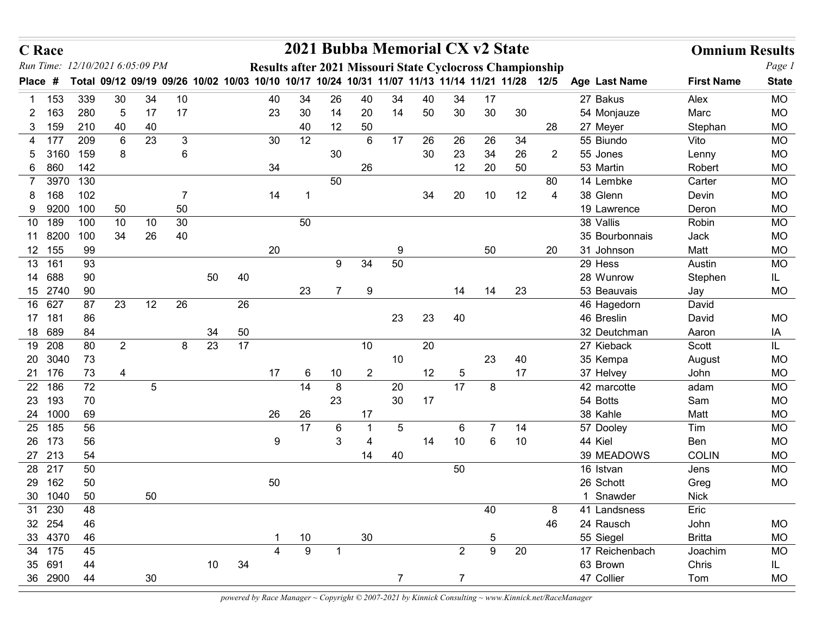| Run Time:    | <b>C</b> Race     |                       |                       |                                                                                                |    |    |    |    |          |          | 2021 Bubba Memorial CX v2 State                           |                 |    |                 |                  |          |                |                         | <b>Omnium Results</b> |                        |
|--------------|-------------------|-----------------------|-----------------------|------------------------------------------------------------------------------------------------|----|----|----|----|----------|----------|-----------------------------------------------------------|-----------------|----|-----------------|------------------|----------|----------------|-------------------------|-----------------------|------------------------|
|              |                   | 12/10/2021 6:05:09 PM |                       |                                                                                                |    |    |    |    |          |          | Results after 2021 Missouri State Cyclocross Championship |                 |    |                 |                  |          |                |                         |                       | Page 1                 |
| <b>Place</b> | #                 |                       |                       | Total 09/12 09/19 09/26 10/02 10/03 10/10 10/17 10/24 10/31 11/07 11/13 11/14 11/21 11/28 12/5 |    |    |    |    |          |          |                                                           |                 |    |                 |                  |          |                | Age Last Name           | <b>First Name</b>     | <b>State</b>           |
|              | 153               | 339                   | 30                    | 34                                                                                             | 10 |    |    | 40 | 34       | 26       | 40                                                        | 34              | 40 | 34              | 17               |          |                | 27 Bakus                | Alex                  | <b>MO</b>              |
| 2<br>3       | 163<br>159        | 280<br>210            | $5\phantom{.0}$<br>40 | 17<br>40                                                                                       | 17 |    |    | 23 | 30<br>40 | 14<br>12 | 20<br>50                                                  | 14              | 50 | 30              | 30               | 30       | 28             | 54 Monjauze<br>27 Meyer | Marc<br>Stephan       | <b>MO</b><br><b>MO</b> |
| 4            | 177               | 209                   | 6                     | 23                                                                                             | 3  |    |    | 30 | 12       |          | 6                                                         | 17              | 26 | 26              | 26               | 34       |                | 55 Biundo               | Vito                  | <b>MO</b>              |
| 5            | 3160              | 159                   | 8                     |                                                                                                | 6  |    |    |    |          | 30       |                                                           |                 | 30 | 23              | 34               | 26       | $\overline{2}$ | 55 Jones                | Lenny                 | <b>MO</b>              |
| 6            | 860               | 142                   |                       |                                                                                                |    |    |    | 34 |          |          | 26                                                        |                 |    | 12              | 20               | 50       |                | 53 Martin               | Robert                | <b>MO</b>              |
|              | 3970              | 130                   |                       |                                                                                                |    |    |    |    |          | 50       |                                                           |                 |    |                 |                  |          | 80             | 14 Lembke               | Carter                | <b>MO</b>              |
|              | 168               | 102                   |                       |                                                                                                | -7 |    |    | 14 | - 1      |          |                                                           |                 | 34 | 20              | 10 <sup>°</sup>  | 12       | 4              | 38 Glenn                | Devin                 | <b>MO</b>              |
| 9            | 9200              | 100                   | 50                    |                                                                                                | 50 |    |    |    |          |          |                                                           |                 |    |                 |                  |          |                | 19 Lawrence             | Deron                 | <b>MO</b>              |
| 10           | 189               | 100                   | 10                    | 10                                                                                             | 30 |    |    |    | 50       |          |                                                           |                 |    |                 |                  |          |                | 38 Vallis               | Robin                 | <b>MO</b>              |
|              | 11 8200           | 100                   | 34                    | 26                                                                                             | 40 |    |    |    |          |          |                                                           |                 |    |                 |                  |          |                | 35 Bourbonnais          | Jack                  | <b>MO</b>              |
|              | 12 155            | 99                    |                       |                                                                                                |    |    |    | 20 |          |          |                                                           | 9               |    |                 | 50               |          | 20             | 31 Johnson              | Matt                  | <b>MO</b>              |
| 13           | 161               | 93                    |                       |                                                                                                |    |    |    |    |          | 9        | 34                                                        | 50              |    |                 |                  |          |                | 29 Hess<br>28 Wunrow    | Austin                | MO                     |
|              | 14 688<br>15 2740 | 90<br>90              |                       |                                                                                                |    | 50 | 40 |    | 23       | 7        | 9                                                         |                 |    | 14              | 14               | 23       |                | 53 Beauvais             | Stephen<br>Jay        | IL.<br>MO              |
|              | 16 627            | 87                    | 23                    | 12                                                                                             | 26 |    | 26 |    |          |          |                                                           |                 |    |                 |                  |          |                | 46 Hagedorn             | David                 |                        |
| 17 181       |                   | 86                    |                       |                                                                                                |    |    |    |    |          |          |                                                           | 23              | 23 | 40              |                  |          |                | 46 Breslin              | David                 | MO                     |
| 18 689       |                   | 84                    |                       |                                                                                                |    | 34 | 50 |    |          |          |                                                           |                 |    |                 |                  |          |                | 32 Deutchman            | Aaron                 | IA                     |
|              | 19 208            | 80                    | $\overline{2}$        |                                                                                                | 8  | 23 | 17 |    |          |          | $10$                                                      |                 | 20 |                 |                  |          |                | 27 Kieback              | Scott                 | IL.                    |
|              | 20 3040           | 73                    |                       |                                                                                                |    |    |    |    |          |          |                                                           | 10              |    |                 | 23               | 40       |                | 35 Kempa                | August                | <b>MO</b>              |
| 21 176       |                   | 73                    | $\overline{4}$        |                                                                                                |    |    |    | 17 | 6        | 10       | $\overline{2}$                                            |                 | 12 | $\overline{5}$  |                  | 17       |                | 37 Helvey               | John                  | <b>MO</b>              |
|              | 22 186            | 72                    |                       | $\overline{5}$                                                                                 |    |    |    |    | 14       | 8        |                                                           | 20              |    | $\overline{17}$ | 8                |          |                | 42 marcotte             | adam                  | <b>MO</b>              |
| 23 193       |                   | 70                    |                       |                                                                                                |    |    |    |    |          | 23       |                                                           | 30              | 17 |                 |                  |          |                | 54 Botts                | Sam                   | <b>MO</b>              |
| 25 185       | 24 1000           | 69                    |                       |                                                                                                |    |    |    | 26 | 26<br>17 |          | 17                                                        |                 |    |                 | $\overline{7}$   |          |                | 38 Kahle                | Matt                  | <b>MO</b>              |
| 26 173       |                   | 56<br>56              |                       |                                                                                                |    |    |    | 9  |          | 6<br>3   | 4                                                         | $5\overline{)}$ | 14 | 6<br>$10$       | 6                | 14<br>10 |                | 57 Dooley<br>44 Kiel    | Tim<br>Ben            | MO<br>MO               |
| 27 213       |                   | 54                    |                       |                                                                                                |    |    |    |    |          |          | 14                                                        | 40              |    |                 |                  |          |                | 39 MEADOWS              | <b>COLIN</b>          | MO                     |
| 28 217       |                   | 50                    |                       |                                                                                                |    |    |    |    |          |          |                                                           |                 |    | 50              |                  |          |                | 16 Istvan               | Jens                  | <b>MO</b>              |
| 29           | 162               | 50                    |                       |                                                                                                |    |    |    | 50 |          |          |                                                           |                 |    |                 |                  |          |                | 26 Schott               | Greg                  | <b>MO</b>              |
|              | 30 1040           | 50                    |                       | 50                                                                                             |    |    |    |    |          |          |                                                           |                 |    |                 |                  |          |                | 1 Snawder               | <b>Nick</b>           |                        |
| 31 230       |                   | 48                    |                       |                                                                                                |    |    |    |    |          |          |                                                           |                 |    |                 | 40               |          | 8              | 41 Landsness            | Eric                  |                        |
| 32 254       |                   | 46                    |                       |                                                                                                |    |    |    |    |          |          |                                                           |                 |    |                 |                  |          | 46             | 24 Rausch               | John                  | MO                     |
|              | 33 4370           | 46                    |                       |                                                                                                |    |    |    | -1 | 10       |          | $30\,$                                                    |                 |    |                 | $\overline{5}$   |          |                | 55 Siegel               | <b>Britta</b>         | <b>MO</b>              |
|              | 34 175            | 45                    |                       |                                                                                                |    |    |    | 4  | 9        |          |                                                           |                 |    | $\overline{2}$  | $\boldsymbol{9}$ | 20       |                | 17 Reichenbach          | Joachim               | MO                     |
| 35 691       | 36 2900           | 44<br>44              |                       | 30                                                                                             |    | 10 | 34 |    |          |          |                                                           | $\overline{7}$  |    | $\overline{7}$  |                  |          |                | 63 Brown<br>47 Collier  | Chris<br>Tom          | IL.<br><b>MO</b>       |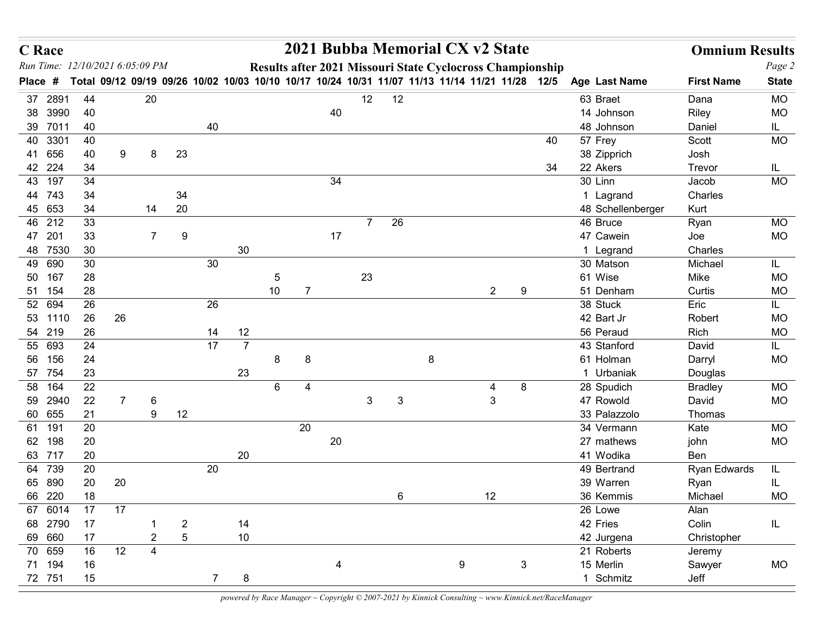| <b>C</b> Race |                    |                                 |                |                |                |    |                |                 |                |    |                |                 |         | 2021 Bubba Memorial CX v2 State |                |                                                                                                                                                             |                           | <b>Omnium Results</b> |                  |
|---------------|--------------------|---------------------------------|----------------|----------------|----------------|----|----------------|-----------------|----------------|----|----------------|-----------------|---------|---------------------------------|----------------|-------------------------------------------------------------------------------------------------------------------------------------------------------------|---------------------------|-----------------------|------------------|
|               |                    | Run Time: 12/10/2021 6:05:09 PM |                |                |                |    |                |                 |                |    |                |                 |         |                                 |                | Results after 2021 Missouri State Cyclocross Championship<br>Total 09/12 09/19 09/26 10/02 10/03 10/10 10/17 10/24 10/31 11/07 11/13 11/14 11/21 11/28 12/5 |                           |                       | Page 2           |
| Place #       |                    |                                 |                |                |                |    |                |                 |                |    |                |                 |         |                                 |                |                                                                                                                                                             | Age Last Name             | <b>First Name</b>     | <b>State</b>     |
|               | 37 2891<br>38 3990 | 44<br>40                        |                | 20             |                |    |                |                 |                | 40 | 12             | 12              |         |                                 |                |                                                                                                                                                             | 63 Braet<br>14 Johnson    | Dana<br>Riley         | MO<br><b>MO</b>  |
|               | 39 7011            | 40                              |                |                |                | 40 |                |                 |                |    |                |                 |         |                                 |                |                                                                                                                                                             | 48 Johnson                | Daniel                | IL.              |
|               | 40 3301            | 40                              |                |                |                |    |                |                 |                |    |                |                 |         |                                 |                | 40                                                                                                                                                          | 57 Frey                   | Scott                 | MO               |
|               | 41 656             | 40                              | 9              | 8              | 23             |    |                |                 |                |    |                |                 |         |                                 |                |                                                                                                                                                             | 38 Zipprich               | Josh                  |                  |
|               | 42 224             | 34                              |                |                |                |    |                |                 |                |    |                |                 |         |                                 |                | 34                                                                                                                                                          | 22 Akers                  | Trevor                | IL.              |
|               | 43 197             | 34                              |                |                |                |    |                |                 |                | 34 |                |                 |         |                                 |                |                                                                                                                                                             | 30 Linn                   | Jacob                 | MO               |
|               | 44 743             | 34                              |                |                | 34             |    |                |                 |                |    |                |                 |         |                                 |                |                                                                                                                                                             | 1 Lagrand                 | Charles               |                  |
|               | 45 653             | 34                              |                | 14             | 20             |    |                |                 |                |    |                |                 |         |                                 |                |                                                                                                                                                             | 48 Schellenberger         | Kurt                  |                  |
|               | 46 212             | 33                              |                |                |                |    |                |                 |                |    | $\overline{7}$ | 26              |         |                                 |                |                                                                                                                                                             | 46 Bruce                  | Ryan                  | MO               |
|               | 47 201             | 33                              |                | $\overline{7}$ | 9              |    |                |                 |                | 17 |                |                 |         |                                 |                |                                                                                                                                                             | 47 Cawein                 | Joe                   | <b>MO</b>        |
|               | 48 7530            | 30                              |                |                |                |    | 30             |                 |                |    |                |                 |         |                                 |                |                                                                                                                                                             | 1 Legrand<br>30 Matson    | Charles<br>Michael    |                  |
|               | 49 690<br>50 167   | 30<br>28                        |                |                |                | 30 |                | $5\phantom{.0}$ |                |    | 23             |                 |         |                                 |                |                                                                                                                                                             | 61 Wise                   | Mike                  | IL.<br><b>MO</b> |
|               | 51 154             | 28                              |                |                |                |    |                | $10\,$          | $\overline{7}$ |    |                |                 |         |                                 | $\overline{2}$ | 9                                                                                                                                                           | 51 Denham                 | Curtis                | MO               |
|               | 52 694             | 26                              |                |                |                | 26 |                |                 |                |    |                |                 |         |                                 |                |                                                                                                                                                             | 38 Stuck                  | Eric                  | IL.              |
|               | 53 1110            | 26                              | 26             |                |                |    |                |                 |                |    |                |                 |         |                                 |                |                                                                                                                                                             | 42 Bart Jr                | Robert                | MO               |
|               | 54 219             | 26                              |                |                |                | 14 | 12             |                 |                |    |                |                 |         |                                 |                |                                                                                                                                                             | 56 Peraud                 | Rich                  | MO               |
|               | 55 693             | 24                              |                |                |                | 17 | $\overline{7}$ |                 |                |    |                |                 |         |                                 |                |                                                                                                                                                             | 43 Stanford               | David                 | IL.              |
|               | 56 156             | 24                              |                |                |                |    |                | 8               | 8              |    |                |                 | $\bf 8$ |                                 |                |                                                                                                                                                             | 61 Holman                 | Darryl                | MO               |
|               | 57 754             | 23                              |                |                |                |    | 23             |                 |                |    |                |                 |         |                                 |                |                                                                                                                                                             | 1 Urbaniak                | Douglas               |                  |
|               | 58 164             | 22                              |                |                |                |    |                | 6               | 4              |    |                |                 |         | 4                               |                | 8                                                                                                                                                           | 28 Spudich                | <b>Bradley</b>        | <b>MO</b>        |
|               | 59 2940<br>60 655  | 22<br>21                        | $\overline{7}$ | 6<br>9         | 12             |    |                |                 |                |    | $\mathbf{3}$   | $\mathbf{3}$    |         |                                 | $\mathbf{3}$   |                                                                                                                                                             | 47 Rowold<br>33 Palazzolo | David<br>Thomas       | MO               |
| 61 191        |                    | 20                              |                |                |                |    |                |                 | 20             |    |                |                 |         |                                 |                |                                                                                                                                                             | 34 Vermann                | Kate                  | MO               |
|               | 62 198             | 20                              |                |                |                |    |                |                 |                | 20 |                |                 |         |                                 |                |                                                                                                                                                             | 27 mathews                | john                  | MO               |
|               | 63 717             | 20                              |                |                |                |    | 20             |                 |                |    |                |                 |         |                                 |                |                                                                                                                                                             | 41 Wodika                 | Ben                   |                  |
|               | 64 739             | 20                              |                |                |                | 20 |                |                 |                |    |                |                 |         |                                 |                |                                                                                                                                                             | 49 Bertrand               | <b>Ryan Edwards</b>   | IL.              |
|               | 65 890             | 20                              | 20             |                |                |    |                |                 |                |    |                |                 |         |                                 |                |                                                                                                                                                             | 39 Warren                 | Ryan                  | IL.              |
|               | 66 220             | 18                              |                |                |                |    |                |                 |                |    |                | $6\overline{6}$ |         | 12                              |                |                                                                                                                                                             | 36 Kemmis                 | Michael               | <b>MO</b>        |
|               | 67 6014            | 17                              | 17             |                |                |    |                |                 |                |    |                |                 |         |                                 |                |                                                                                                                                                             | 26 Lowe                   | Alan                  |                  |
|               | 68 2790            | 17                              |                | -1             | $\overline{2}$ |    | 14             |                 |                |    |                |                 |         |                                 |                |                                                                                                                                                             | 42 Fries                  | Colin                 | IL               |
|               | 69 660             | 17                              |                | $\overline{2}$ | $\sqrt{5}$     |    | 10             |                 |                |    |                |                 |         |                                 |                |                                                                                                                                                             | 42 Jurgena                | Christopher           |                  |
|               |                    | 16                              | 12             | $\overline{4}$ |                |    |                |                 |                |    |                |                 |         |                                 |                |                                                                                                                                                             | 21 Roberts                | Jeremy                |                  |
| 70 659        | 71 194             | 16                              |                |                |                |    |                |                 |                |    |                |                 |         | 9                               |                | $\mathbf{3}$                                                                                                                                                | 15 Merlin<br>1 Schmitz    | Sawyer<br>Jeff        | MO               |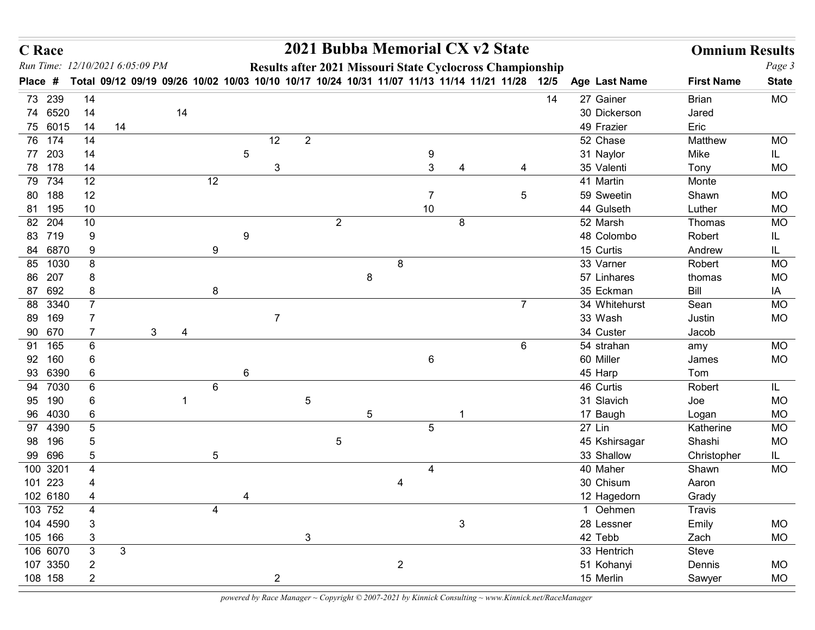| <b>C</b> Race                   |                              |              |              |    |            |                 |                |                |                |         |                |                |                | 2021 Bubba Memorial CX v2 State                                                                |    |                            | <b>Omnium Results</b> |                  |
|---------------------------------|------------------------------|--------------|--------------|----|------------|-----------------|----------------|----------------|----------------|---------|----------------|----------------|----------------|------------------------------------------------------------------------------------------------|----|----------------------------|-----------------------|------------------|
| Run Time: 12/10/2021 6:05:09 PM |                              |              |              |    |            |                 |                |                |                |         |                |                |                | Results after 2021 Missouri State Cyclocross Championship                                      |    |                            |                       | Page 3           |
| Place #                         |                              |              |              |    |            |                 |                |                |                |         |                |                |                | Total 09/12 09/19 09/26 10/02 10/03 10/10 10/17 10/24 10/31 11/07 11/13 11/14 11/21 11/28 12/5 |    | Age Last Name              | <b>First Name</b>     | <b>State</b>     |
| 73 239                          | 14                           |              |              |    |            |                 |                |                |                |         |                |                |                |                                                                                                | 14 | 27 Gainer                  | <b>Brian</b>          | <b>MO</b>        |
| 74 6520<br>75 6015              | 14<br>14                     | 14           |              | 14 |            |                 |                |                |                |         |                |                |                |                                                                                                |    | 30 Dickerson<br>49 Frazier | Jared<br>Eric         |                  |
| 76 174                          | 14                           |              |              |    |            |                 | 12             | $\overline{2}$ |                |         |                |                |                |                                                                                                |    | 52 Chase                   | Matthew               | MO               |
| 77 203                          | 14                           |              |              |    |            | 5               |                |                |                |         |                | 9              |                |                                                                                                |    | 31 Naylor                  | Mike                  | IL.              |
| 78 178                          | 14                           |              |              |    |            |                 | 3              |                |                |         |                | $\mathbf{3}$   |                |                                                                                                |    | 35 Valenti                 | Tony                  | <b>MO</b>        |
| 79 734                          | 12                           |              |              |    | 12         |                 |                |                |                |         |                |                |                |                                                                                                |    | 41 Martin                  | Monte                 |                  |
| 80 188                          | 12                           |              |              |    |            |                 |                |                |                |         |                | $\overline{7}$ |                | $5\phantom{.0}$                                                                                |    | 59 Sweetin                 | Shawn                 | <b>MO</b>        |
| 81 195                          | 10                           |              |              |    |            |                 |                |                |                |         |                | 10             |                |                                                                                                |    | 44 Gulseth                 | Luther                | <b>MO</b>        |
| 82 204                          | 10                           |              |              |    |            |                 |                |                | $\overline{2}$ |         |                |                | 8              |                                                                                                |    | 52 Marsh                   | Thomas                | <b>MO</b>        |
| 83 719                          | 9                            |              |              |    |            | 9               |                |                |                |         |                |                |                |                                                                                                |    | 48 Colombo                 | Robert                |                  |
| 84 6870<br>85<br>1030           | 9<br>8                       |              |              |    | 9          |                 |                |                |                |         | 8              |                |                |                                                                                                |    | 15 Curtis<br>33 Varner     | Andrew<br>Robert      | IL<br>MO         |
| 207<br>86                       | 8                            |              |              |    |            |                 |                |                |                | $\,8\,$ |                |                |                |                                                                                                |    | 57 Linhares                | thomas                | <b>MO</b>        |
| 87 692                          | $\bf 8$                      |              |              |    | 8          |                 |                |                |                |         |                |                |                |                                                                                                |    | 35 Eckman                  | Bill                  | IA               |
| 88 3340                         | $\overline{7}$               |              |              |    |            |                 |                |                |                |         |                |                |                | $\overline{7}$                                                                                 |    | 34 Whitehurst              | Sean                  | <b>MO</b>        |
| 89 169                          | 7                            |              |              |    |            |                 | $\overline{7}$ |                |                |         |                |                |                |                                                                                                |    | 33 Wash                    | Justin                | <b>MO</b>        |
| 90 670                          | $\overline{7}$               |              | $\mathbf{3}$ | 4  |            |                 |                |                |                |         |                |                |                |                                                                                                |    | 34 Custer                  | Jacob                 |                  |
| 91 165                          | $\,6\,$                      |              |              |    |            |                 |                |                |                |         |                |                |                | $6\phantom{.}6$                                                                                |    | 54 strahan                 | amy                   | MO               |
| 92 160                          | $6\phantom{.}6$              |              |              |    |            |                 |                |                |                |         |                | $\,6\,$        |                |                                                                                                |    | 60 Miller                  | James                 | <b>MO</b>        |
| 93 6390                         | $\,6\,$                      |              |              |    |            | $6\phantom{1}6$ |                |                |                |         |                |                |                |                                                                                                |    | 45 Harp                    | Tom                   |                  |
| 94 7030<br>95 190               | $6\phantom{.}6$<br>6         |              |              |    | 6          |                 |                | $\mathbf 5$    |                |         |                |                |                |                                                                                                |    | 46 Curtis<br>31 Slavich    | Robert<br>Joe         | IL.<br><b>MO</b> |
| 96 4030                         | $\,6\,$                      |              |              |    |            |                 |                |                |                | 5       |                |                |                |                                                                                                |    | 17 Baugh                   | Logan                 | <b>MO</b>        |
| 97 4390                         | $\sqrt{5}$                   |              |              |    |            |                 |                |                |                |         |                | $\overline{5}$ |                |                                                                                                |    | 27 Lin                     | Katherine             | <b>MO</b>        |
| 98 196                          | 5                            |              |              |    |            |                 |                |                | 5              |         |                |                |                |                                                                                                |    | 45 Kshirsagar              | Shashi                | <b>MO</b>        |
| 99 696                          | $\sqrt{5}$                   |              |              |    | $\sqrt{5}$ |                 |                |                |                |         |                |                |                |                                                                                                |    | 33 Shallow                 | Christopher           | IL.              |
| 100 3201                        | $\overline{\mathbf{4}}$      |              |              |    |            |                 |                |                |                |         |                | 4              |                |                                                                                                |    | 40 Maher                   | Shawn                 | <b>MO</b>        |
| 101 223                         | $\overline{4}$               |              |              |    |            |                 |                |                |                |         | 4              |                |                |                                                                                                |    | 30 Chisum                  | Aaron                 |                  |
| 102 6180                        | $\overline{4}$               |              |              |    |            |                 |                |                |                |         |                |                |                |                                                                                                |    | 12 Hagedorn                | Grady                 |                  |
| 103 752<br>104 4590             | $\overline{4}$<br>$\sqrt{3}$ |              |              |    | 4          |                 |                |                |                |         |                |                | $\mathfrak{S}$ |                                                                                                |    | 1 Oehmen<br>28 Lessner     | Travis                | <b>MO</b>        |
| 105 166                         | $\sqrt{3}$                   |              |              |    |            |                 |                | 3              |                |         |                |                |                |                                                                                                |    | 42 Tebb                    | Emily<br>Zach         | MO               |
| 106 6070                        | $\mathbf{3}$                 | $\mathbf{3}$ |              |    |            |                 |                |                |                |         |                |                |                |                                                                                                |    | 33 Hentrich                | Steve                 |                  |
| 107 3350                        | $\sqrt{2}$                   |              |              |    |            |                 |                |                |                |         | $\overline{2}$ |                |                |                                                                                                |    | 51 Kohanyi                 | Dennis                | <b>MO</b>        |
|                                 | 108 158<br>$\sqrt{2}$        |              |              |    |            |                 |                |                |                |         |                |                |                |                                                                                                |    | 15 Merlin                  | Sawyer                | <b>MO</b>        |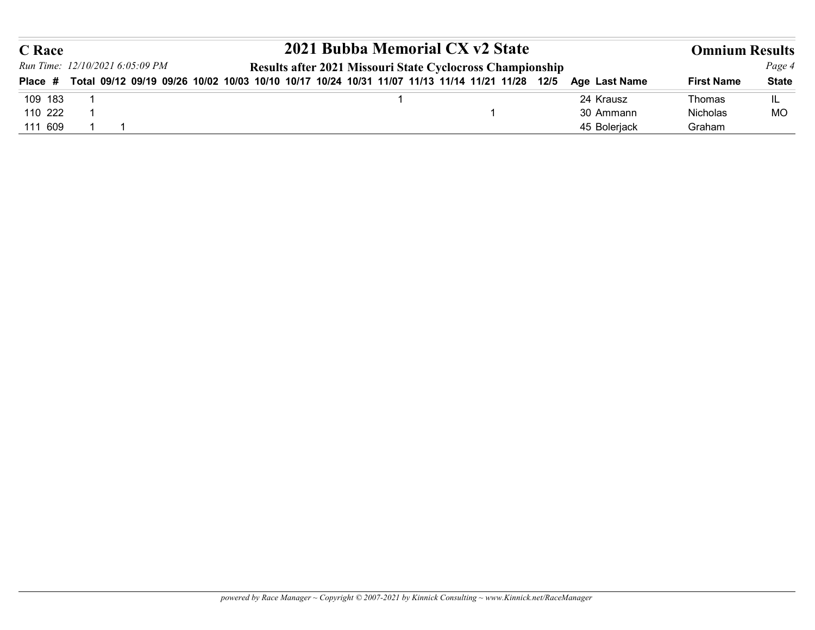| <b>C</b> Race      |                                                                                                        | 2021 Bubba Memorial CX v2 State                           |                           | <b>Omnium Results</b> |              |
|--------------------|--------------------------------------------------------------------------------------------------------|-----------------------------------------------------------|---------------------------|-----------------------|--------------|
|                    | Run Time: 12/10/2021 6:05:09 PM                                                                        | Results after 2021 Missouri State Cyclocross Championship |                           |                       | Page 4       |
|                    | Place # Total 09/12 09/19 09/26 10/02 10/03 10/10 10/17 10/24 10/31 11/07 11/13 11/14 11/21 11/28 12/5 |                                                           | Age Last Name             | <b>First Name</b>     | <b>State</b> |
| 109 183            |                                                                                                        | 1                                                         | 24 Krausz                 | Thomas                | IL           |
| 110 222<br>111 609 |                                                                                                        | -1                                                        | 30 Ammann<br>45 Bolerjack | Nicholas<br>Graham    | MO           |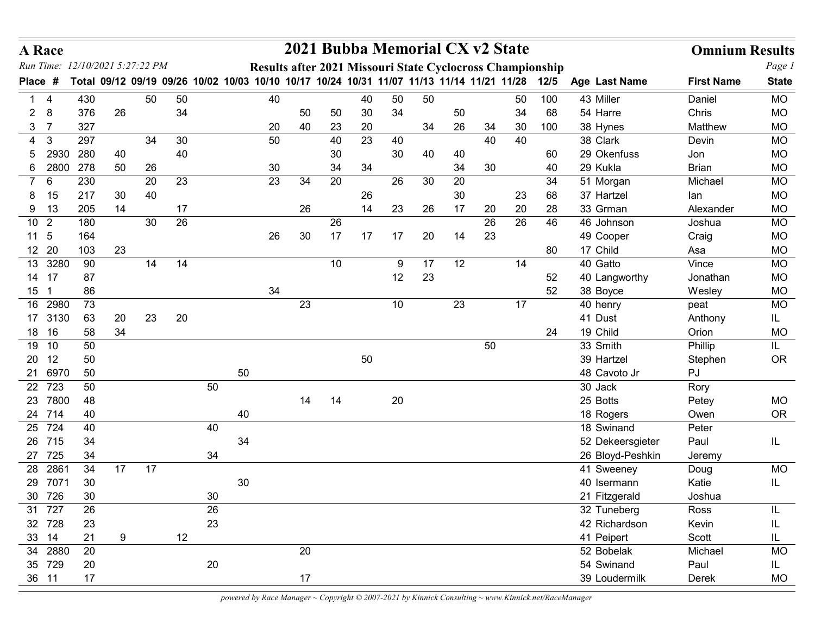|                | A Race                         |                                                                                                |    |    |          |    |        |    |          |          | 2021 Bubba Memorial CX v2 State                           |    |    |          |          |          |           |                              | <b>Omnium Results</b>  |                        |
|----------------|--------------------------------|------------------------------------------------------------------------------------------------|----|----|----------|----|--------|----|----------|----------|-----------------------------------------------------------|----|----|----------|----------|----------|-----------|------------------------------|------------------------|------------------------|
|                |                                | Run Time: 12/10/2021 5:27:22 PM                                                                |    |    |          |    |        |    |          |          | Results after 2021 Missouri State Cyclocross Championship |    |    |          |          |          |           |                              |                        | Page 1                 |
| <b>Place</b>   | #                              | Total 09/12 09/19 09/26 10/02 10/03 10/10 10/17 10/24 10/31 11/07 11/13 11/14 11/21 11/28 12/5 |    |    |          |    |        |    |          |          |                                                           |    |    |          |          |          |           | Age Last Name                | <b>First Name</b>      | <b>State</b>           |
|                | $\mathbf{1}$<br>$\overline{4}$ | 430                                                                                            |    | 50 | 50       |    |        | 40 |          |          | 40                                                        | 50 | 50 |          |          | 50       | 100       | 43 Miller                    | Daniel                 | <b>MO</b>              |
| $\overline{2}$ | - 8<br>3 <sub>7</sub>          | 376<br>327                                                                                     | 26 |    | 34       |    |        | 20 | 50<br>40 | 50<br>23 | 30<br>20                                                  | 34 | 34 | 50<br>26 | 34       | 34<br>30 | 68<br>100 | 54 Harre<br>38 Hynes         | Chris<br>Matthew       | <b>MO</b><br><b>MO</b> |
|                | $\mathbf{3}$<br>4              | 297                                                                                            |    | 34 | 30       |    |        | 50 |          | 40       | 23                                                        | 40 |    |          | 40       | 40       |           | 38 Clark                     | Devin                  | <b>MO</b>              |
|                | 2930<br>5                      | 280                                                                                            | 40 |    | 40       |    |        |    |          | 30       |                                                           | 30 | 40 | 40       |          |          | 60        | 29 Okenfuss                  | Jon                    | <b>MO</b>              |
|                | 6 2800                         | 278                                                                                            | 50 | 26 |          |    |        | 30 |          | 34       | 34                                                        |    |    | 34       | 30       |          | 40        | 29 Kukla                     | <b>Brian</b>           | <b>MO</b>              |
| $7^{\circ}$    | 6                              | 230                                                                                            |    | 20 | 23       |    |        | 23 | 34       | 20       |                                                           | 26 | 30 | 20       |          |          | 34        | 51 Morgan                    | Michael                | <b>MO</b>              |
| 8.             | 15                             | 217                                                                                            | 30 | 40 |          |    |        |    |          |          | 26                                                        |    |    | 30       |          | 23       | 68        | 37 Hartzel                   | lan                    | <b>MO</b>              |
|                | 9 13<br>10 <sub>2</sub>        | 205<br>180                                                                                     | 14 | 30 | 17<br>26 |    |        |    | 26       | 26       | 14                                                        | 23 | 26 | 17       | 20<br>26 | 20<br>26 | 28<br>46  | 33 Grman<br>46 Johnson       | Alexander<br>Joshua    | <b>MO</b><br><b>MO</b> |
|                | 11 <sub>5</sub>                | 164                                                                                            |    |    |          |    |        | 26 | 30       | 17       | -17                                                       | 17 | 20 | 14       | 23       |          |           | 49 Cooper                    | Craig                  | <b>MO</b>              |
|                | 12 20                          | 103                                                                                            | 23 |    |          |    |        |    |          |          |                                                           |    |    |          |          |          | 80        | 17 Child                     | Asa                    | <b>MO</b>              |
| 13             | 3280                           | 90                                                                                             |    | 14 | 14       |    |        |    |          | 10       |                                                           | 9  | 17 | 12       |          | 14       |           | 40 Gatto                     | Vince                  | MO                     |
| 14             | 17                             | 87                                                                                             |    |    |          |    |        |    |          |          |                                                           | 12 | 23 |          |          |          | 52        | 40 Langworthy                | Jonathan               | <b>MO</b>              |
|                | 15 <sub>1</sub>                | 86                                                                                             |    |    |          |    |        | 34 |          |          |                                                           |    |    |          |          | 17       | 52        | 38 Boyce                     | Wesley                 | <b>MO</b>              |
|                | 16 2980<br>17 3130             | 73<br>63                                                                                       | 20 | 23 | 20       |    |        |    | 23       |          |                                                           | 10 |    | 23       |          |          |           | 40 henry<br>41 Dust          | peat<br>Anthony        | <b>MO</b><br>IL.       |
|                | 18 16                          | 58                                                                                             | 34 |    |          |    |        |    |          |          |                                                           |    |    |          |          |          | 24        | 19 Child                     | Orion                  | MO                     |
|                | 19 10                          | 50                                                                                             |    |    |          |    |        |    |          |          |                                                           |    |    |          | 50       |          |           | 33 Smith                     | Phillip                | IL.                    |
|                | 20 12                          | 50                                                                                             |    |    |          |    |        |    |          |          | 50                                                        |    |    |          |          |          |           | 39 Hartzel                   | Stephen                | OR                     |
|                | 21 6970                        | 50                                                                                             |    |    |          |    | 50     |    |          |          |                                                           |    |    |          |          |          |           | 48 Cavoto Jr                 | $\mathsf{P}\mathsf{J}$ |                        |
|                | 22 723<br>23 7800              | 50<br>48                                                                                       |    |    |          | 50 |        |    | 14       | 14       |                                                           | 20 |    |          |          |          |           | 30 Jack<br>25 Botts          | Rory<br>Petey          | MO                     |
|                | 24 714                         | 40                                                                                             |    |    |          |    | 40     |    |          |          |                                                           |    |    |          |          |          |           | 18 Rogers                    | Owen                   | OR                     |
|                | 25 724                         | 40                                                                                             |    |    |          | 40 |        |    |          |          |                                                           |    |    |          |          |          |           | 18 Swinand                   | Peter                  |                        |
|                | 26 715                         | 34                                                                                             |    |    |          |    | 34     |    |          |          |                                                           |    |    |          |          |          |           | 52 Dekeersgieter             | Paul                   | IL.                    |
|                | 27 725                         | 34                                                                                             |    |    |          | 34 |        |    |          |          |                                                           |    |    |          |          |          |           | 26 Bloyd-Peshkin             | Jeremy                 |                        |
|                | 28 2861                        | 34                                                                                             | 17 | 17 |          |    |        |    |          |          |                                                           |    |    |          |          |          |           | 41 Sweeney                   | Doug                   | <b>MO</b>              |
|                | 29 7071<br>30 726              | 30<br>$30\,$                                                                                   |    |    |          | 30 | $30\,$ |    |          |          |                                                           |    |    |          |          |          |           | 40 Isermann<br>21 Fitzgerald | Katie<br>Joshua        | IL.                    |
|                | 31 727                         | 26                                                                                             |    |    |          | 26 |        |    |          |          |                                                           |    |    |          |          |          |           | 32 Tuneberg                  | Ross                   |                        |
|                | 32 728                         | 23                                                                                             |    |    |          | 23 |        |    |          |          |                                                           |    |    |          |          |          |           | 42 Richardson                | Kevin                  |                        |
|                | 33 14                          | 21                                                                                             | 9  |    | 12       |    |        |    |          |          |                                                           |    |    |          |          |          |           | 41 Peipert                   | Scott                  | IL.                    |
|                | 34 2880                        | 20                                                                                             |    |    |          |    |        |    | 20       |          |                                                           |    |    |          |          |          |           | 52 Bobelak                   | Michael                | <b>MO</b>              |
|                | 35 729                         | 20                                                                                             |    |    |          | 20 |        |    | 17       |          |                                                           |    |    |          |          |          |           | 54 Swinand<br>39 Loudermilk  | Paul<br>Derek          | IL.<br><b>MO</b>       |